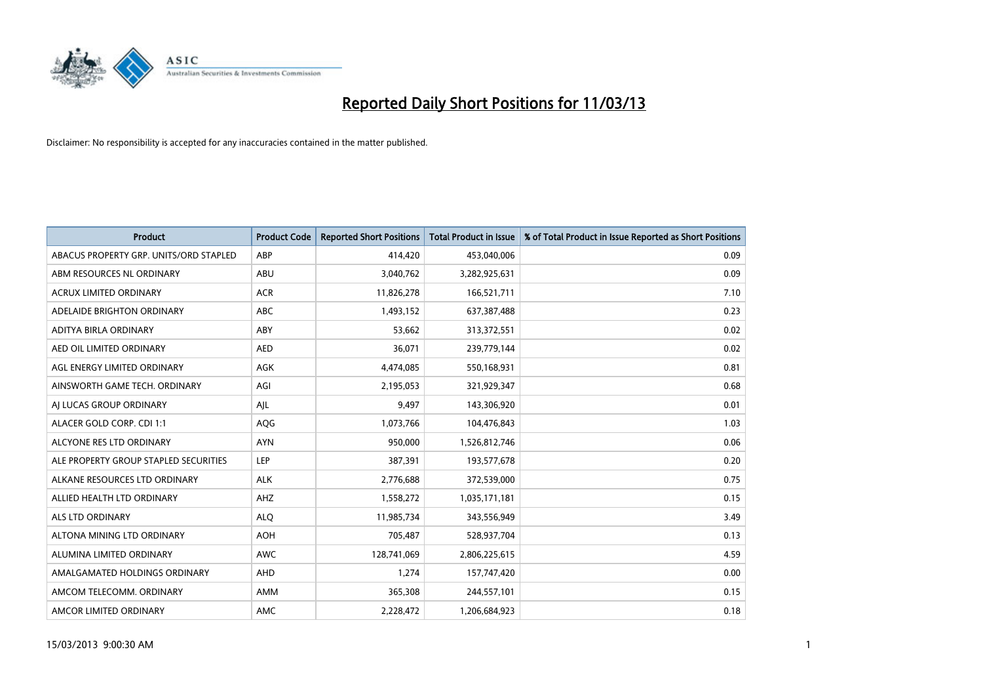

| <b>Product</b>                         | <b>Product Code</b> | <b>Reported Short Positions</b> | <b>Total Product in Issue</b> | % of Total Product in Issue Reported as Short Positions |
|----------------------------------------|---------------------|---------------------------------|-------------------------------|---------------------------------------------------------|
| ABACUS PROPERTY GRP. UNITS/ORD STAPLED | ABP                 | 414,420                         | 453,040,006                   | 0.09                                                    |
| ABM RESOURCES NL ORDINARY              | ABU                 | 3,040,762                       | 3,282,925,631                 | 0.09                                                    |
| <b>ACRUX LIMITED ORDINARY</b>          | <b>ACR</b>          | 11,826,278                      | 166,521,711                   | 7.10                                                    |
| ADELAIDE BRIGHTON ORDINARY             | <b>ABC</b>          | 1,493,152                       | 637,387,488                   | 0.23                                                    |
| ADITYA BIRLA ORDINARY                  | ABY                 | 53,662                          | 313,372,551                   | 0.02                                                    |
| AED OIL LIMITED ORDINARY               | <b>AED</b>          | 36,071                          | 239,779,144                   | 0.02                                                    |
| AGL ENERGY LIMITED ORDINARY            | <b>AGK</b>          | 4,474,085                       | 550,168,931                   | 0.81                                                    |
| AINSWORTH GAME TECH. ORDINARY          | AGI                 | 2,195,053                       | 321,929,347                   | 0.68                                                    |
| AI LUCAS GROUP ORDINARY                | AJL                 | 9,497                           | 143,306,920                   | 0.01                                                    |
| ALACER GOLD CORP. CDI 1:1              | AQG                 | 1,073,766                       | 104,476,843                   | 1.03                                                    |
| ALCYONE RES LTD ORDINARY               | <b>AYN</b>          | 950,000                         | 1,526,812,746                 | 0.06                                                    |
| ALE PROPERTY GROUP STAPLED SECURITIES  | LEP                 | 387,391                         | 193,577,678                   | 0.20                                                    |
| ALKANE RESOURCES LTD ORDINARY          | <b>ALK</b>          | 2,776,688                       | 372,539,000                   | 0.75                                                    |
| ALLIED HEALTH LTD ORDINARY             | AHZ                 | 1,558,272                       | 1,035,171,181                 | 0.15                                                    |
| ALS LTD ORDINARY                       | <b>ALQ</b>          | 11,985,734                      | 343,556,949                   | 3.49                                                    |
| ALTONA MINING LTD ORDINARY             | <b>AOH</b>          | 705,487                         | 528,937,704                   | 0.13                                                    |
| ALUMINA LIMITED ORDINARY               | <b>AWC</b>          | 128,741,069                     | 2,806,225,615                 | 4.59                                                    |
| AMALGAMATED HOLDINGS ORDINARY          | <b>AHD</b>          | 1,274                           | 157,747,420                   | 0.00                                                    |
| AMCOM TELECOMM, ORDINARY               | <b>AMM</b>          | 365,308                         | 244,557,101                   | 0.15                                                    |
| AMCOR LIMITED ORDINARY                 | <b>AMC</b>          | 2,228,472                       | 1,206,684,923                 | 0.18                                                    |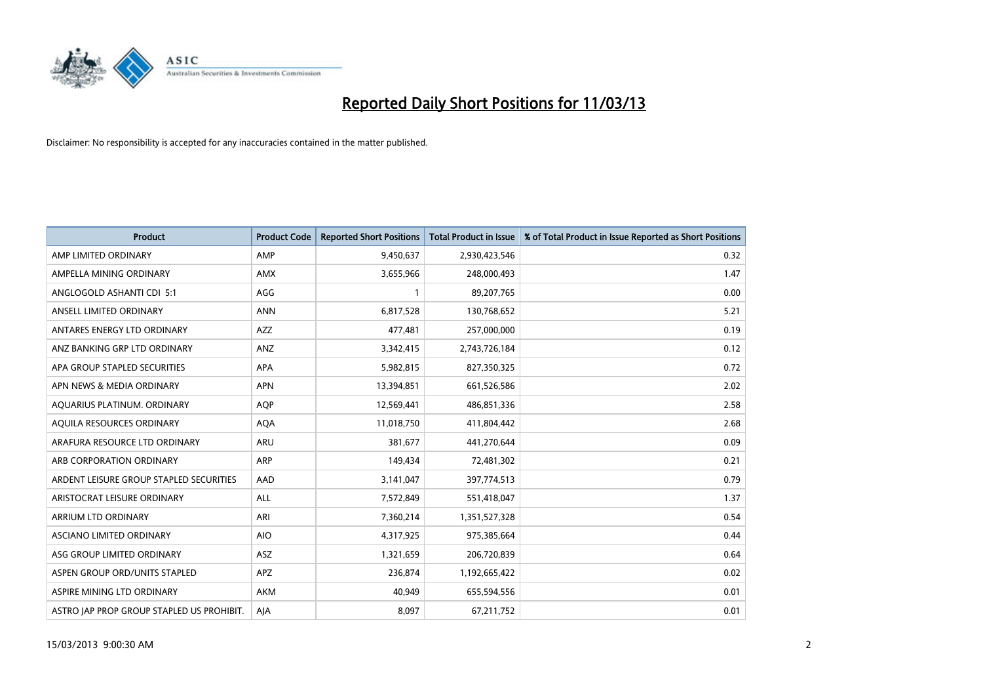

| <b>Product</b>                            | <b>Product Code</b> | <b>Reported Short Positions</b> | <b>Total Product in Issue</b> | % of Total Product in Issue Reported as Short Positions |
|-------------------------------------------|---------------------|---------------------------------|-------------------------------|---------------------------------------------------------|
| AMP LIMITED ORDINARY                      | AMP                 | 9,450,637                       | 2,930,423,546                 | 0.32                                                    |
| AMPELLA MINING ORDINARY                   | <b>AMX</b>          | 3,655,966                       | 248,000,493                   | 1.47                                                    |
| ANGLOGOLD ASHANTI CDI 5:1                 | AGG                 |                                 | 89,207,765                    | 0.00                                                    |
| ANSELL LIMITED ORDINARY                   | <b>ANN</b>          | 6,817,528                       | 130,768,652                   | 5.21                                                    |
| ANTARES ENERGY LTD ORDINARY               | <b>AZZ</b>          | 477,481                         | 257,000,000                   | 0.19                                                    |
| ANZ BANKING GRP LTD ORDINARY              | ANZ                 | 3,342,415                       | 2,743,726,184                 | 0.12                                                    |
| APA GROUP STAPLED SECURITIES              | <b>APA</b>          | 5,982,815                       | 827,350,325                   | 0.72                                                    |
| APN NEWS & MEDIA ORDINARY                 | <b>APN</b>          | 13,394,851                      | 661,526,586                   | 2.02                                                    |
| AQUARIUS PLATINUM. ORDINARY               | <b>AOP</b>          | 12,569,441                      | 486,851,336                   | 2.58                                                    |
| AQUILA RESOURCES ORDINARY                 | <b>AQA</b>          | 11,018,750                      | 411,804,442                   | 2.68                                                    |
| ARAFURA RESOURCE LTD ORDINARY             | <b>ARU</b>          | 381,677                         | 441,270,644                   | 0.09                                                    |
| ARB CORPORATION ORDINARY                  | <b>ARP</b>          | 149,434                         | 72,481,302                    | 0.21                                                    |
| ARDENT LEISURE GROUP STAPLED SECURITIES   | AAD                 | 3,141,047                       | 397,774,513                   | 0.79                                                    |
| ARISTOCRAT LEISURE ORDINARY               | ALL                 | 7,572,849                       | 551,418,047                   | 1.37                                                    |
| ARRIUM LTD ORDINARY                       | ARI                 | 7,360,214                       | 1,351,527,328                 | 0.54                                                    |
| ASCIANO LIMITED ORDINARY                  | <b>AIO</b>          | 4,317,925                       | 975,385,664                   | 0.44                                                    |
| ASG GROUP LIMITED ORDINARY                | <b>ASZ</b>          | 1,321,659                       | 206,720,839                   | 0.64                                                    |
| ASPEN GROUP ORD/UNITS STAPLED             | <b>APZ</b>          | 236,874                         | 1,192,665,422                 | 0.02                                                    |
| ASPIRE MINING LTD ORDINARY                | <b>AKM</b>          | 40,949                          | 655,594,556                   | 0.01                                                    |
| ASTRO JAP PROP GROUP STAPLED US PROHIBIT. | AJA                 | 8.097                           | 67,211,752                    | 0.01                                                    |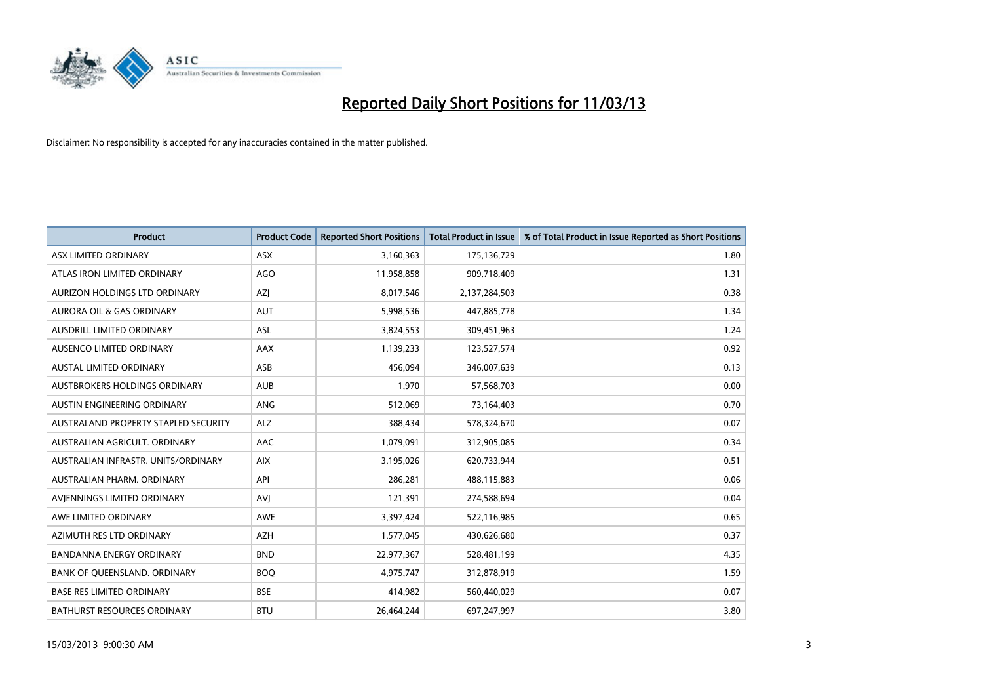

| <b>Product</b>                       | <b>Product Code</b> | <b>Reported Short Positions</b> | <b>Total Product in Issue</b> | % of Total Product in Issue Reported as Short Positions |
|--------------------------------------|---------------------|---------------------------------|-------------------------------|---------------------------------------------------------|
| ASX LIMITED ORDINARY                 | <b>ASX</b>          | 3,160,363                       | 175,136,729                   | 1.80                                                    |
| ATLAS IRON LIMITED ORDINARY          | <b>AGO</b>          | 11,958,858                      | 909,718,409                   | 1.31                                                    |
| AURIZON HOLDINGS LTD ORDINARY        | AZJ                 | 8,017,546                       | 2,137,284,503                 | 0.38                                                    |
| AURORA OIL & GAS ORDINARY            | <b>AUT</b>          | 5,998,536                       | 447,885,778                   | 1.34                                                    |
| AUSDRILL LIMITED ORDINARY            | <b>ASL</b>          | 3,824,553                       | 309,451,963                   | 1.24                                                    |
| AUSENCO LIMITED ORDINARY             | AAX                 | 1,139,233                       | 123,527,574                   | 0.92                                                    |
| AUSTAL LIMITED ORDINARY              | ASB                 | 456,094                         | 346,007,639                   | 0.13                                                    |
| <b>AUSTBROKERS HOLDINGS ORDINARY</b> | <b>AUB</b>          | 1,970                           | 57,568,703                    | 0.00                                                    |
| AUSTIN ENGINEERING ORDINARY          | <b>ANG</b>          | 512,069                         | 73,164,403                    | 0.70                                                    |
| AUSTRALAND PROPERTY STAPLED SECURITY | <b>ALZ</b>          | 388,434                         | 578,324,670                   | 0.07                                                    |
| AUSTRALIAN AGRICULT. ORDINARY        | <b>AAC</b>          | 1,079,091                       | 312,905,085                   | 0.34                                                    |
| AUSTRALIAN INFRASTR. UNITS/ORDINARY  | <b>AIX</b>          | 3,195,026                       | 620,733,944                   | 0.51                                                    |
| AUSTRALIAN PHARM. ORDINARY           | API                 | 286,281                         | 488,115,883                   | 0.06                                                    |
| AVIENNINGS LIMITED ORDINARY          | AVI                 | 121,391                         | 274,588,694                   | 0.04                                                    |
| AWE LIMITED ORDINARY                 | <b>AWE</b>          | 3,397,424                       | 522,116,985                   | 0.65                                                    |
| AZIMUTH RES LTD ORDINARY             | <b>AZH</b>          | 1,577,045                       | 430,626,680                   | 0.37                                                    |
| <b>BANDANNA ENERGY ORDINARY</b>      | <b>BND</b>          | 22,977,367                      | 528,481,199                   | 4.35                                                    |
| BANK OF QUEENSLAND. ORDINARY         | <b>BOQ</b>          | 4,975,747                       | 312,878,919                   | 1.59                                                    |
| <b>BASE RES LIMITED ORDINARY</b>     | <b>BSE</b>          | 414,982                         | 560,440,029                   | 0.07                                                    |
| <b>BATHURST RESOURCES ORDINARY</b>   | <b>BTU</b>          | 26,464,244                      | 697,247,997                   | 3.80                                                    |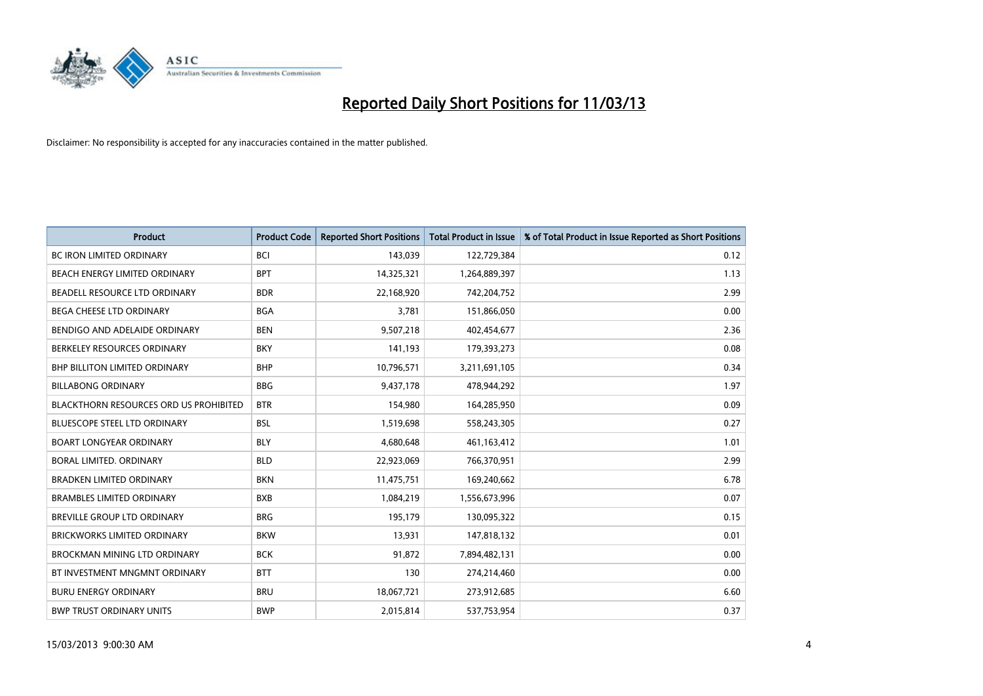

| <b>Product</b>                                | <b>Product Code</b> | <b>Reported Short Positions</b> | <b>Total Product in Issue</b> | % of Total Product in Issue Reported as Short Positions |
|-----------------------------------------------|---------------------|---------------------------------|-------------------------------|---------------------------------------------------------|
| <b>BC IRON LIMITED ORDINARY</b>               | <b>BCI</b>          | 143,039                         | 122,729,384                   | 0.12                                                    |
| BEACH ENERGY LIMITED ORDINARY                 | <b>BPT</b>          | 14,325,321                      | 1,264,889,397                 | 1.13                                                    |
| BEADELL RESOURCE LTD ORDINARY                 | <b>BDR</b>          | 22,168,920                      | 742,204,752                   | 2.99                                                    |
| BEGA CHEESE LTD ORDINARY                      | <b>BGA</b>          | 3,781                           | 151,866,050                   | 0.00                                                    |
| BENDIGO AND ADELAIDE ORDINARY                 | <b>BEN</b>          | 9,507,218                       | 402,454,677                   | 2.36                                                    |
| BERKELEY RESOURCES ORDINARY                   | <b>BKY</b>          | 141,193                         | 179,393,273                   | 0.08                                                    |
| <b>BHP BILLITON LIMITED ORDINARY</b>          | <b>BHP</b>          | 10,796,571                      | 3,211,691,105                 | 0.34                                                    |
| <b>BILLABONG ORDINARY</b>                     | <b>BBG</b>          | 9,437,178                       | 478,944,292                   | 1.97                                                    |
| <b>BLACKTHORN RESOURCES ORD US PROHIBITED</b> | <b>BTR</b>          | 154,980                         | 164,285,950                   | 0.09                                                    |
| <b>BLUESCOPE STEEL LTD ORDINARY</b>           | <b>BSL</b>          | 1,519,698                       | 558,243,305                   | 0.27                                                    |
| <b>BOART LONGYEAR ORDINARY</b>                | <b>BLY</b>          | 4,680,648                       | 461,163,412                   | 1.01                                                    |
| BORAL LIMITED, ORDINARY                       | <b>BLD</b>          | 22,923,069                      | 766,370,951                   | 2.99                                                    |
| <b>BRADKEN LIMITED ORDINARY</b>               | <b>BKN</b>          | 11,475,751                      | 169,240,662                   | 6.78                                                    |
| <b>BRAMBLES LIMITED ORDINARY</b>              | <b>BXB</b>          | 1,084,219                       | 1,556,673,996                 | 0.07                                                    |
| BREVILLE GROUP LTD ORDINARY                   | <b>BRG</b>          | 195,179                         | 130,095,322                   | 0.15                                                    |
| <b>BRICKWORKS LIMITED ORDINARY</b>            | <b>BKW</b>          | 13,931                          | 147,818,132                   | 0.01                                                    |
| BROCKMAN MINING LTD ORDINARY                  | <b>BCK</b>          | 91,872                          | 7,894,482,131                 | 0.00                                                    |
| BT INVESTMENT MNGMNT ORDINARY                 | <b>BTT</b>          | 130                             | 274,214,460                   | 0.00                                                    |
| <b>BURU ENERGY ORDINARY</b>                   | <b>BRU</b>          | 18,067,721                      | 273,912,685                   | 6.60                                                    |
| <b>BWP TRUST ORDINARY UNITS</b>               | <b>BWP</b>          | 2,015,814                       | 537,753,954                   | 0.37                                                    |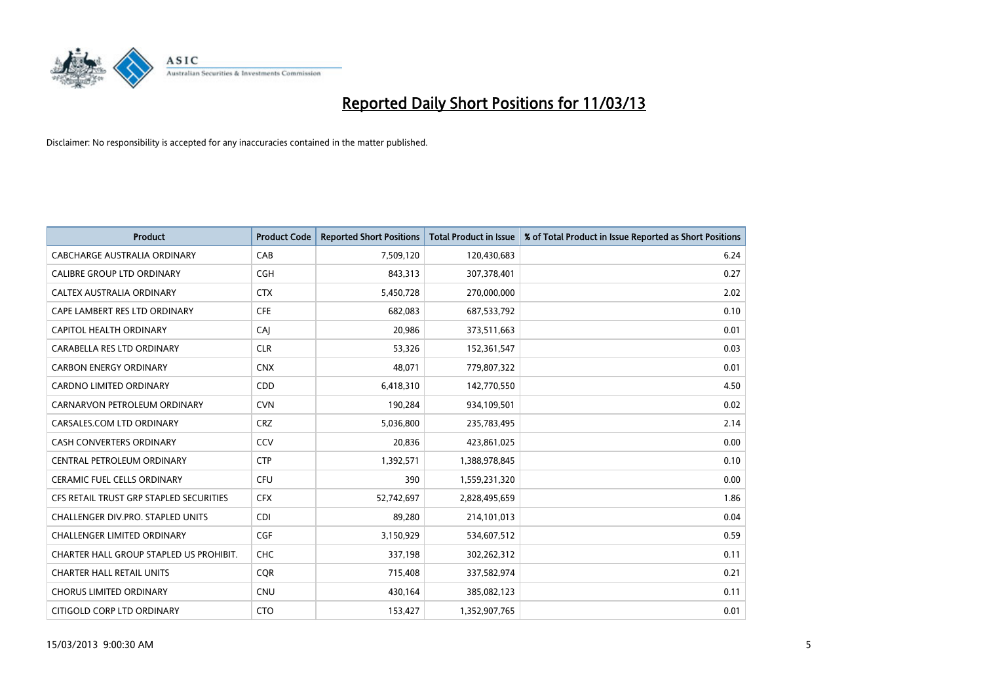

| <b>Product</b>                          | <b>Product Code</b> | <b>Reported Short Positions</b> | <b>Total Product in Issue</b> | % of Total Product in Issue Reported as Short Positions |
|-----------------------------------------|---------------------|---------------------------------|-------------------------------|---------------------------------------------------------|
| CABCHARGE AUSTRALIA ORDINARY            | CAB                 | 7,509,120                       | 120,430,683                   | 6.24                                                    |
| CALIBRE GROUP LTD ORDINARY              | <b>CGH</b>          | 843,313                         | 307,378,401                   | 0.27                                                    |
| <b>CALTEX AUSTRALIA ORDINARY</b>        | <b>CTX</b>          | 5,450,728                       | 270,000,000                   | 2.02                                                    |
| CAPE LAMBERT RES LTD ORDINARY           | <b>CFE</b>          | 682,083                         | 687,533,792                   | 0.10                                                    |
| CAPITOL HEALTH ORDINARY                 | CAI                 | 20,986                          | 373,511,663                   | 0.01                                                    |
| CARABELLA RES LTD ORDINARY              | <b>CLR</b>          | 53,326                          | 152,361,547                   | 0.03                                                    |
| <b>CARBON ENERGY ORDINARY</b>           | <b>CNX</b>          | 48,071                          | 779,807,322                   | 0.01                                                    |
| CARDNO LIMITED ORDINARY                 | <b>CDD</b>          | 6,418,310                       | 142,770,550                   | 4.50                                                    |
| CARNARVON PETROLEUM ORDINARY            | <b>CVN</b>          | 190,284                         | 934,109,501                   | 0.02                                                    |
| CARSALES.COM LTD ORDINARY               | <b>CRZ</b>          | 5,036,800                       | 235,783,495                   | 2.14                                                    |
| CASH CONVERTERS ORDINARY                | CCV                 | 20,836                          | 423,861,025                   | 0.00                                                    |
| CENTRAL PETROLEUM ORDINARY              | <b>CTP</b>          | 1,392,571                       | 1,388,978,845                 | 0.10                                                    |
| CERAMIC FUEL CELLS ORDINARY             | CFU                 | 390                             | 1,559,231,320                 | 0.00                                                    |
| CFS RETAIL TRUST GRP STAPLED SECURITIES | <b>CFX</b>          | 52,742,697                      | 2,828,495,659                 | 1.86                                                    |
| CHALLENGER DIV.PRO. STAPLED UNITS       | <b>CDI</b>          | 89,280                          | 214,101,013                   | 0.04                                                    |
| CHALLENGER LIMITED ORDINARY             | <b>CGF</b>          | 3,150,929                       | 534,607,512                   | 0.59                                                    |
| CHARTER HALL GROUP STAPLED US PROHIBIT. | <b>CHC</b>          | 337,198                         | 302,262,312                   | 0.11                                                    |
| <b>CHARTER HALL RETAIL UNITS</b>        | <b>CQR</b>          | 715,408                         | 337,582,974                   | 0.21                                                    |
| <b>CHORUS LIMITED ORDINARY</b>          | <b>CNU</b>          | 430,164                         | 385,082,123                   | 0.11                                                    |
| CITIGOLD CORP LTD ORDINARY              | <b>CTO</b>          | 153,427                         | 1,352,907,765                 | 0.01                                                    |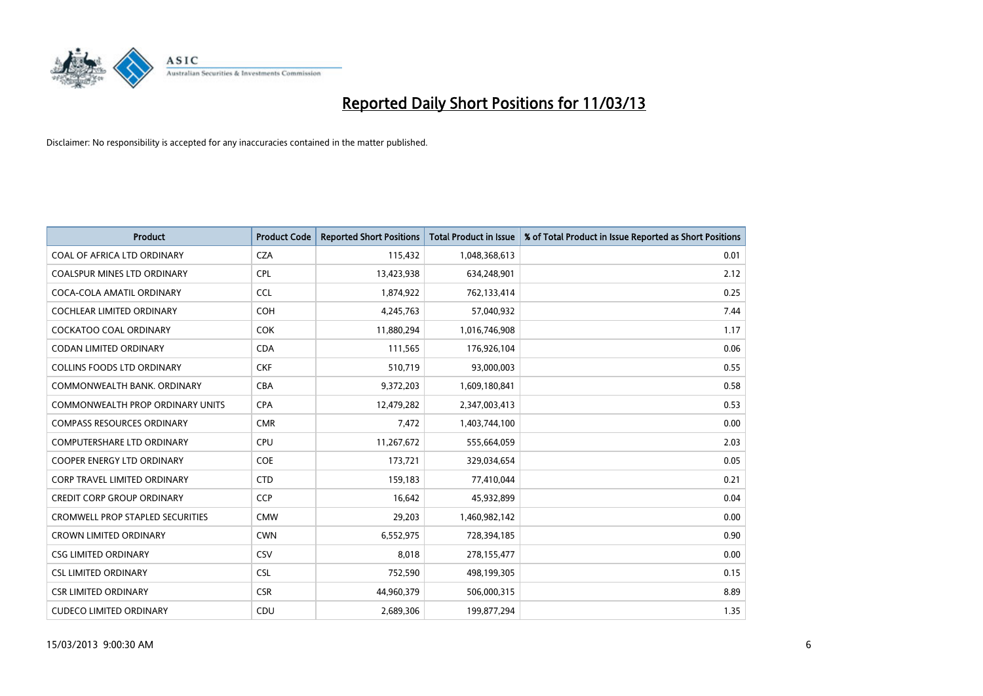

| <b>Product</b>                          | <b>Product Code</b> | <b>Reported Short Positions</b> | <b>Total Product in Issue</b> | % of Total Product in Issue Reported as Short Positions |
|-----------------------------------------|---------------------|---------------------------------|-------------------------------|---------------------------------------------------------|
| COAL OF AFRICA LTD ORDINARY             | <b>CZA</b>          | 115,432                         | 1,048,368,613                 | 0.01                                                    |
| <b>COALSPUR MINES LTD ORDINARY</b>      | <b>CPL</b>          | 13,423,938                      | 634,248,901                   | 2.12                                                    |
| COCA-COLA AMATIL ORDINARY               | <b>CCL</b>          | 1,874,922                       | 762,133,414                   | 0.25                                                    |
| COCHLEAR LIMITED ORDINARY               | <b>COH</b>          | 4,245,763                       | 57,040,932                    | 7.44                                                    |
| <b>COCKATOO COAL ORDINARY</b>           | <b>COK</b>          | 11,880,294                      | 1,016,746,908                 | 1.17                                                    |
| <b>CODAN LIMITED ORDINARY</b>           | <b>CDA</b>          | 111,565                         | 176,926,104                   | 0.06                                                    |
| <b>COLLINS FOODS LTD ORDINARY</b>       | <b>CKF</b>          | 510.719                         | 93,000,003                    | 0.55                                                    |
| COMMONWEALTH BANK, ORDINARY             | CBA                 | 9,372,203                       | 1,609,180,841                 | 0.58                                                    |
| <b>COMMONWEALTH PROP ORDINARY UNITS</b> | <b>CPA</b>          | 12,479,282                      | 2,347,003,413                 | 0.53                                                    |
| <b>COMPASS RESOURCES ORDINARY</b>       | <b>CMR</b>          | 7,472                           | 1,403,744,100                 | 0.00                                                    |
| <b>COMPUTERSHARE LTD ORDINARY</b>       | CPU                 | 11,267,672                      | 555,664,059                   | 2.03                                                    |
| <b>COOPER ENERGY LTD ORDINARY</b>       | <b>COE</b>          | 173,721                         | 329,034,654                   | 0.05                                                    |
| <b>CORP TRAVEL LIMITED ORDINARY</b>     | <b>CTD</b>          | 159,183                         | 77,410,044                    | 0.21                                                    |
| <b>CREDIT CORP GROUP ORDINARY</b>       | <b>CCP</b>          | 16.642                          | 45,932,899                    | 0.04                                                    |
| <b>CROMWELL PROP STAPLED SECURITIES</b> | <b>CMW</b>          | 29,203                          | 1,460,982,142                 | 0.00                                                    |
| <b>CROWN LIMITED ORDINARY</b>           | <b>CWN</b>          | 6,552,975                       | 728,394,185                   | 0.90                                                    |
| <b>CSG LIMITED ORDINARY</b>             | CSV                 | 8,018                           | 278,155,477                   | 0.00                                                    |
| <b>CSL LIMITED ORDINARY</b>             | <b>CSL</b>          | 752,590                         | 498,199,305                   | 0.15                                                    |
| <b>CSR LIMITED ORDINARY</b>             | <b>CSR</b>          | 44,960,379                      | 506,000,315                   | 8.89                                                    |
| <b>CUDECO LIMITED ORDINARY</b>          | CDU                 | 2,689,306                       | 199,877,294                   | 1.35                                                    |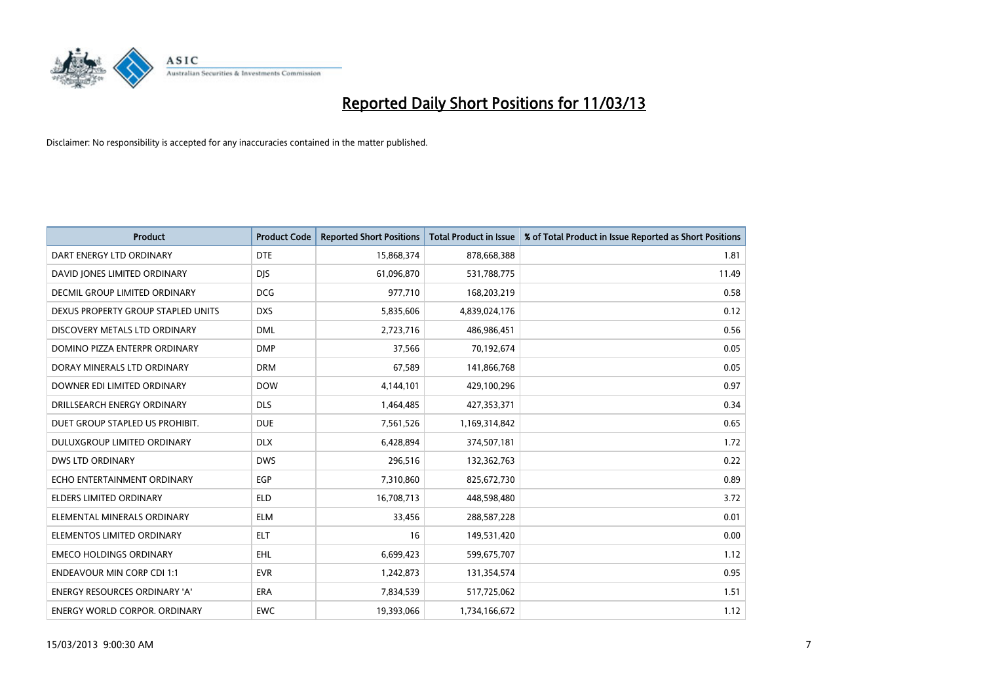

| <b>Product</b>                       | <b>Product Code</b> | <b>Reported Short Positions</b> | <b>Total Product in Issue</b> | % of Total Product in Issue Reported as Short Positions |
|--------------------------------------|---------------------|---------------------------------|-------------------------------|---------------------------------------------------------|
| DART ENERGY LTD ORDINARY             | <b>DTE</b>          | 15,868,374                      | 878,668,388                   | 1.81                                                    |
| DAVID JONES LIMITED ORDINARY         | <b>DIS</b>          | 61,096,870                      | 531,788,775                   | 11.49                                                   |
| <b>DECMIL GROUP LIMITED ORDINARY</b> | <b>DCG</b>          | 977,710                         | 168,203,219                   | 0.58                                                    |
| DEXUS PROPERTY GROUP STAPLED UNITS   | <b>DXS</b>          | 5,835,606                       | 4,839,024,176                 | 0.12                                                    |
| DISCOVERY METALS LTD ORDINARY        | <b>DML</b>          | 2,723,716                       | 486,986,451                   | 0.56                                                    |
| DOMINO PIZZA ENTERPR ORDINARY        | <b>DMP</b>          | 37,566                          | 70,192,674                    | 0.05                                                    |
| DORAY MINERALS LTD ORDINARY          | <b>DRM</b>          | 67,589                          | 141,866,768                   | 0.05                                                    |
| DOWNER EDI LIMITED ORDINARY          | <b>DOW</b>          | 4,144,101                       | 429,100,296                   | 0.97                                                    |
| DRILLSEARCH ENERGY ORDINARY          | <b>DLS</b>          | 1,464,485                       | 427,353,371                   | 0.34                                                    |
| DUET GROUP STAPLED US PROHIBIT.      | <b>DUE</b>          | 7,561,526                       | 1,169,314,842                 | 0.65                                                    |
| DULUXGROUP LIMITED ORDINARY          | <b>DLX</b>          | 6,428,894                       | 374,507,181                   | 1.72                                                    |
| <b>DWS LTD ORDINARY</b>              | <b>DWS</b>          | 296,516                         | 132,362,763                   | 0.22                                                    |
| ECHO ENTERTAINMENT ORDINARY          | EGP                 | 7,310,860                       | 825,672,730                   | 0.89                                                    |
| <b>ELDERS LIMITED ORDINARY</b>       | <b>ELD</b>          | 16,708,713                      | 448,598,480                   | 3.72                                                    |
| ELEMENTAL MINERALS ORDINARY          | <b>ELM</b>          | 33,456                          | 288,587,228                   | 0.01                                                    |
| ELEMENTOS LIMITED ORDINARY           | <b>ELT</b>          | 16                              | 149,531,420                   | 0.00                                                    |
| <b>EMECO HOLDINGS ORDINARY</b>       | <b>EHL</b>          | 6,699,423                       | 599,675,707                   | 1.12                                                    |
| <b>ENDEAVOUR MIN CORP CDI 1:1</b>    | <b>EVR</b>          | 1,242,873                       | 131,354,574                   | 0.95                                                    |
| <b>ENERGY RESOURCES ORDINARY 'A'</b> | <b>ERA</b>          | 7,834,539                       | 517,725,062                   | 1.51                                                    |
| <b>ENERGY WORLD CORPOR, ORDINARY</b> | <b>EWC</b>          | 19,393,066                      | 1,734,166,672                 | 1.12                                                    |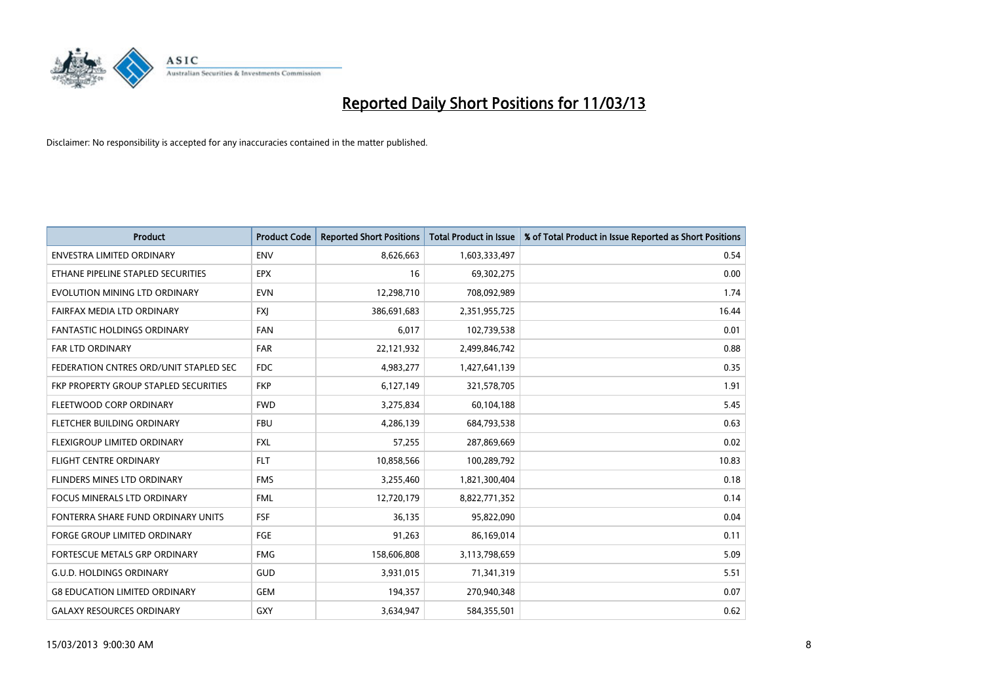

| <b>Product</b>                         | <b>Product Code</b> | <b>Reported Short Positions</b> | <b>Total Product in Issue</b> | % of Total Product in Issue Reported as Short Positions |
|----------------------------------------|---------------------|---------------------------------|-------------------------------|---------------------------------------------------------|
| <b>ENVESTRA LIMITED ORDINARY</b>       | <b>ENV</b>          | 8,626,663                       | 1,603,333,497                 | 0.54                                                    |
| ETHANE PIPELINE STAPLED SECURITIES     | <b>EPX</b>          | 16                              | 69,302,275                    | 0.00                                                    |
| EVOLUTION MINING LTD ORDINARY          | <b>EVN</b>          | 12,298,710                      | 708,092,989                   | 1.74                                                    |
| FAIRFAX MEDIA LTD ORDINARY             | <b>FXI</b>          | 386,691,683                     | 2,351,955,725                 | 16.44                                                   |
| <b>FANTASTIC HOLDINGS ORDINARY</b>     | <b>FAN</b>          | 6,017                           | 102,739,538                   | 0.01                                                    |
| FAR LTD ORDINARY                       | <b>FAR</b>          | 22,121,932                      | 2,499,846,742                 | 0.88                                                    |
| FEDERATION CNTRES ORD/UNIT STAPLED SEC | <b>FDC</b>          | 4,983,277                       | 1,427,641,139                 | 0.35                                                    |
| FKP PROPERTY GROUP STAPLED SECURITIES  | <b>FKP</b>          | 6,127,149                       | 321,578,705                   | 1.91                                                    |
| FLEETWOOD CORP ORDINARY                | <b>FWD</b>          | 3,275,834                       | 60,104,188                    | 5.45                                                    |
| FLETCHER BUILDING ORDINARY             | <b>FBU</b>          | 4,286,139                       | 684,793,538                   | 0.63                                                    |
| FLEXIGROUP LIMITED ORDINARY            | <b>FXL</b>          | 57,255                          | 287,869,669                   | 0.02                                                    |
| <b>FLIGHT CENTRE ORDINARY</b>          | <b>FLT</b>          | 10,858,566                      | 100,289,792                   | 10.83                                                   |
| <b>FLINDERS MINES LTD ORDINARY</b>     | <b>FMS</b>          | 3,255,460                       | 1,821,300,404                 | 0.18                                                    |
| <b>FOCUS MINERALS LTD ORDINARY</b>     | <b>FML</b>          | 12,720,179                      | 8,822,771,352                 | 0.14                                                    |
| FONTERRA SHARE FUND ORDINARY UNITS     | <b>FSF</b>          | 36,135                          | 95,822,090                    | 0.04                                                    |
| FORGE GROUP LIMITED ORDINARY           | FGE                 | 91,263                          | 86,169,014                    | 0.11                                                    |
| FORTESCUE METALS GRP ORDINARY          | <b>FMG</b>          | 158,606,808                     | 3,113,798,659                 | 5.09                                                    |
| <b>G.U.D. HOLDINGS ORDINARY</b>        | <b>GUD</b>          | 3,931,015                       | 71,341,319                    | 5.51                                                    |
| <b>G8 EDUCATION LIMITED ORDINARY</b>   | <b>GEM</b>          | 194,357                         | 270,940,348                   | 0.07                                                    |
| <b>GALAXY RESOURCES ORDINARY</b>       | <b>GXY</b>          | 3,634,947                       | 584,355,501                   | 0.62                                                    |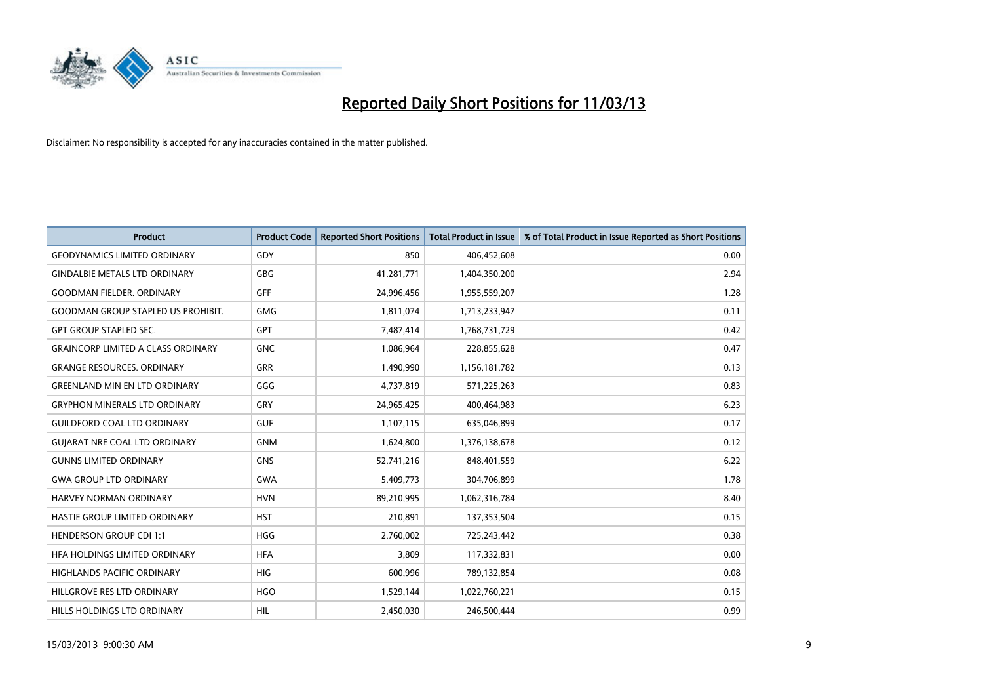

| <b>Product</b>                            | <b>Product Code</b> | <b>Reported Short Positions</b> | <b>Total Product in Issue</b> | % of Total Product in Issue Reported as Short Positions |
|-------------------------------------------|---------------------|---------------------------------|-------------------------------|---------------------------------------------------------|
| <b>GEODYNAMICS LIMITED ORDINARY</b>       | GDY                 | 850                             | 406,452,608                   | 0.00                                                    |
| <b>GINDALBIE METALS LTD ORDINARY</b>      | GBG                 | 41,281,771                      | 1,404,350,200                 | 2.94                                                    |
| <b>GOODMAN FIELDER, ORDINARY</b>          | <b>GFF</b>          | 24,996,456                      | 1,955,559,207                 | 1.28                                                    |
| <b>GOODMAN GROUP STAPLED US PROHIBIT.</b> | <b>GMG</b>          | 1,811,074                       | 1,713,233,947                 | 0.11                                                    |
| <b>GPT GROUP STAPLED SEC.</b>             | GPT                 | 7,487,414                       | 1,768,731,729                 | 0.42                                                    |
| <b>GRAINCORP LIMITED A CLASS ORDINARY</b> | <b>GNC</b>          | 1,086,964                       | 228,855,628                   | 0.47                                                    |
| <b>GRANGE RESOURCES, ORDINARY</b>         | GRR                 | 1,490,990                       | 1,156,181,782                 | 0.13                                                    |
| <b>GREENLAND MIN EN LTD ORDINARY</b>      | GGG                 | 4,737,819                       | 571,225,263                   | 0.83                                                    |
| <b>GRYPHON MINERALS LTD ORDINARY</b>      | GRY                 | 24,965,425                      | 400,464,983                   | 6.23                                                    |
| <b>GUILDFORD COAL LTD ORDINARY</b>        | <b>GUF</b>          | 1,107,115                       | 635,046,899                   | 0.17                                                    |
| GUJARAT NRE COAL LTD ORDINARY             | <b>GNM</b>          | 1,624,800                       | 1,376,138,678                 | 0.12                                                    |
| <b>GUNNS LIMITED ORDINARY</b>             | <b>GNS</b>          | 52,741,216                      | 848,401,559                   | 6.22                                                    |
| <b>GWA GROUP LTD ORDINARY</b>             | <b>GWA</b>          | 5,409,773                       | 304,706,899                   | 1.78                                                    |
| <b>HARVEY NORMAN ORDINARY</b>             | <b>HVN</b>          | 89,210,995                      | 1,062,316,784                 | 8.40                                                    |
| HASTIE GROUP LIMITED ORDINARY             | <b>HST</b>          | 210,891                         | 137,353,504                   | 0.15                                                    |
| <b>HENDERSON GROUP CDI 1:1</b>            | <b>HGG</b>          | 2,760,002                       | 725,243,442                   | 0.38                                                    |
| HFA HOLDINGS LIMITED ORDINARY             | <b>HFA</b>          | 3,809                           | 117,332,831                   | 0.00                                                    |
| HIGHLANDS PACIFIC ORDINARY                | <b>HIG</b>          | 600,996                         | 789,132,854                   | 0.08                                                    |
| HILLGROVE RES LTD ORDINARY                | <b>HGO</b>          | 1,529,144                       | 1,022,760,221                 | 0.15                                                    |
| HILLS HOLDINGS LTD ORDINARY               | <b>HIL</b>          | 2.450.030                       | 246,500,444                   | 0.99                                                    |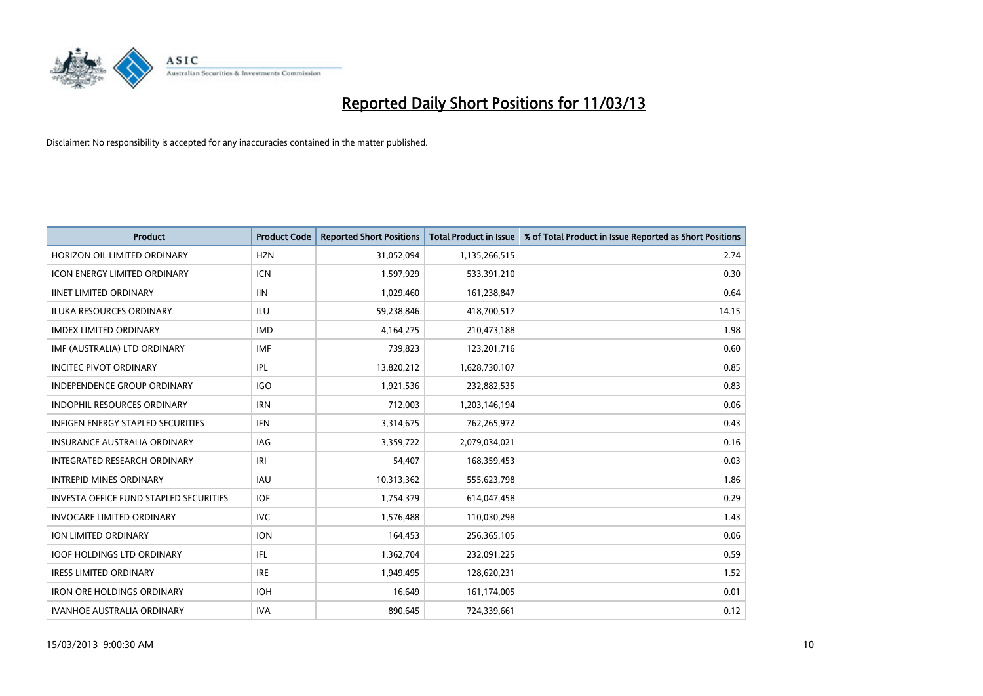

| <b>Product</b>                                | <b>Product Code</b> | <b>Reported Short Positions</b> | <b>Total Product in Issue</b> | % of Total Product in Issue Reported as Short Positions |
|-----------------------------------------------|---------------------|---------------------------------|-------------------------------|---------------------------------------------------------|
| HORIZON OIL LIMITED ORDINARY                  | <b>HZN</b>          | 31,052,094                      | 1,135,266,515                 | 2.74                                                    |
| ICON ENERGY LIMITED ORDINARY                  | <b>ICN</b>          | 1,597,929                       | 533,391,210                   | 0.30                                                    |
| <b>IINET LIMITED ORDINARY</b>                 | <b>IIN</b>          | 1,029,460                       | 161,238,847                   | 0.64                                                    |
| ILUKA RESOURCES ORDINARY                      | ILU                 | 59,238,846                      | 418,700,517                   | 14.15                                                   |
| <b>IMDEX LIMITED ORDINARY</b>                 | <b>IMD</b>          | 4,164,275                       | 210,473,188                   | 1.98                                                    |
| IMF (AUSTRALIA) LTD ORDINARY                  | <b>IMF</b>          | 739,823                         | 123,201,716                   | 0.60                                                    |
| <b>INCITEC PIVOT ORDINARY</b>                 | IPL                 | 13,820,212                      | 1,628,730,107                 | 0.85                                                    |
| <b>INDEPENDENCE GROUP ORDINARY</b>            | <b>IGO</b>          | 1,921,536                       | 232,882,535                   | 0.83                                                    |
| INDOPHIL RESOURCES ORDINARY                   | <b>IRN</b>          | 712,003                         | 1,203,146,194                 | 0.06                                                    |
| <b>INFIGEN ENERGY STAPLED SECURITIES</b>      | <b>IFN</b>          | 3,314,675                       | 762,265,972                   | 0.43                                                    |
| INSURANCE AUSTRALIA ORDINARY                  | IAG                 | 3,359,722                       | 2,079,034,021                 | 0.16                                                    |
| <b>INTEGRATED RESEARCH ORDINARY</b>           | IRI                 | 54,407                          | 168,359,453                   | 0.03                                                    |
| <b>INTREPID MINES ORDINARY</b>                | <b>IAU</b>          | 10,313,362                      | 555,623,798                   | 1.86                                                    |
| <b>INVESTA OFFICE FUND STAPLED SECURITIES</b> | <b>IOF</b>          | 1,754,379                       | 614,047,458                   | 0.29                                                    |
| <b>INVOCARE LIMITED ORDINARY</b>              | <b>IVC</b>          | 1,576,488                       | 110,030,298                   | 1.43                                                    |
| ION LIMITED ORDINARY                          | <b>ION</b>          | 164,453                         | 256,365,105                   | 0.06                                                    |
| <b>IOOF HOLDINGS LTD ORDINARY</b>             | <b>IFL</b>          | 1,362,704                       | 232,091,225                   | 0.59                                                    |
| <b>IRESS LIMITED ORDINARY</b>                 | <b>IRE</b>          | 1,949,495                       | 128,620,231                   | 1.52                                                    |
| <b>IRON ORE HOLDINGS ORDINARY</b>             | <b>IOH</b>          | 16,649                          | 161,174,005                   | 0.01                                                    |
| <b>IVANHOE AUSTRALIA ORDINARY</b>             | <b>IVA</b>          | 890.645                         | 724,339,661                   | 0.12                                                    |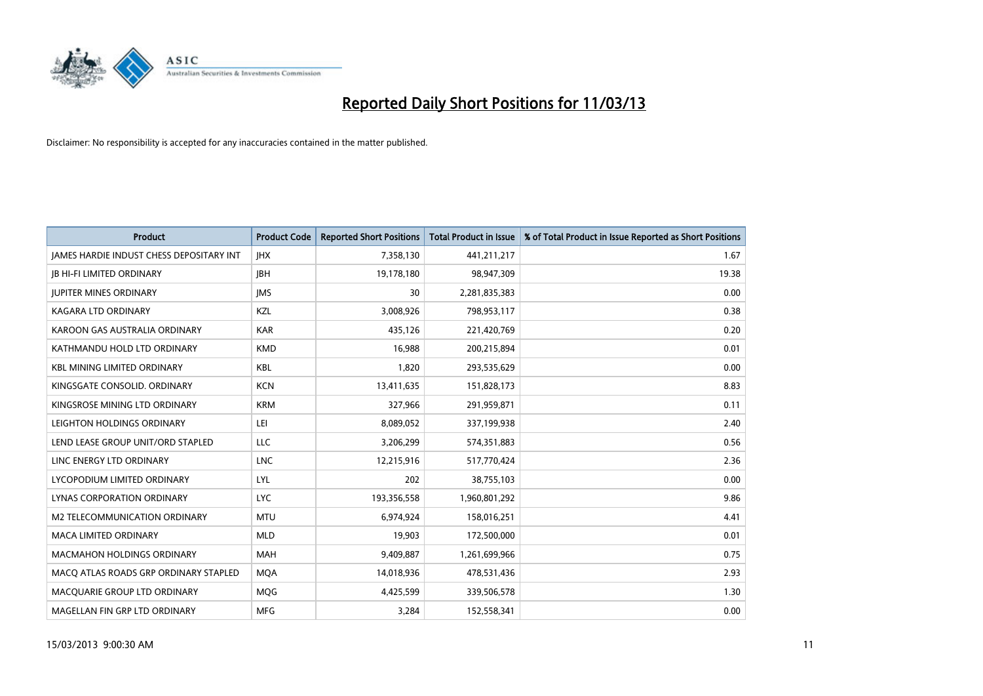

| <b>Product</b>                                  | <b>Product Code</b> | <b>Reported Short Positions</b> | <b>Total Product in Issue</b> | % of Total Product in Issue Reported as Short Positions |
|-------------------------------------------------|---------------------|---------------------------------|-------------------------------|---------------------------------------------------------|
| <b>JAMES HARDIE INDUST CHESS DEPOSITARY INT</b> | <b>IHX</b>          | 7,358,130                       | 441,211,217                   | 1.67                                                    |
| <b>JB HI-FI LIMITED ORDINARY</b>                | <b>IBH</b>          | 19,178,180                      | 98,947,309                    | 19.38                                                   |
| <b>JUPITER MINES ORDINARY</b>                   | <b>IMS</b>          | 30                              | 2,281,835,383                 | 0.00                                                    |
| <b>KAGARA LTD ORDINARY</b>                      | KZL                 | 3,008,926                       | 798,953,117                   | 0.38                                                    |
| KAROON GAS AUSTRALIA ORDINARY                   | <b>KAR</b>          | 435.126                         | 221,420,769                   | 0.20                                                    |
| KATHMANDU HOLD LTD ORDINARY                     | <b>KMD</b>          | 16,988                          | 200,215,894                   | 0.01                                                    |
| <b>KBL MINING LIMITED ORDINARY</b>              | <b>KBL</b>          | 1.820                           | 293,535,629                   | 0.00                                                    |
| KINGSGATE CONSOLID. ORDINARY                    | <b>KCN</b>          | 13,411,635                      | 151,828,173                   | 8.83                                                    |
| KINGSROSE MINING LTD ORDINARY                   | <b>KRM</b>          | 327,966                         | 291,959,871                   | 0.11                                                    |
| LEIGHTON HOLDINGS ORDINARY                      | LEI                 | 8,089,052                       | 337,199,938                   | 2.40                                                    |
| LEND LEASE GROUP UNIT/ORD STAPLED               | <b>LLC</b>          | 3,206,299                       | 574,351,883                   | 0.56                                                    |
| LINC ENERGY LTD ORDINARY                        | <b>LNC</b>          | 12,215,916                      | 517,770,424                   | 2.36                                                    |
| LYCOPODIUM LIMITED ORDINARY                     | LYL                 | 202                             | 38,755,103                    | 0.00                                                    |
| <b>LYNAS CORPORATION ORDINARY</b>               | <b>LYC</b>          | 193,356,558                     | 1,960,801,292                 | 9.86                                                    |
| M2 TELECOMMUNICATION ORDINARY                   | <b>MTU</b>          | 6,974,924                       | 158,016,251                   | 4.41                                                    |
| <b>MACA LIMITED ORDINARY</b>                    | <b>MLD</b>          | 19,903                          | 172,500,000                   | 0.01                                                    |
| <b>MACMAHON HOLDINGS ORDINARY</b>               | <b>MAH</b>          | 9,409,887                       | 1,261,699,966                 | 0.75                                                    |
| MACQ ATLAS ROADS GRP ORDINARY STAPLED           | <b>MQA</b>          | 14,018,936                      | 478,531,436                   | 2.93                                                    |
| MACOUARIE GROUP LTD ORDINARY                    | <b>MOG</b>          | 4,425,599                       | 339,506,578                   | 1.30                                                    |
| MAGELLAN FIN GRP LTD ORDINARY                   | <b>MFG</b>          | 3.284                           | 152.558.341                   | 0.00                                                    |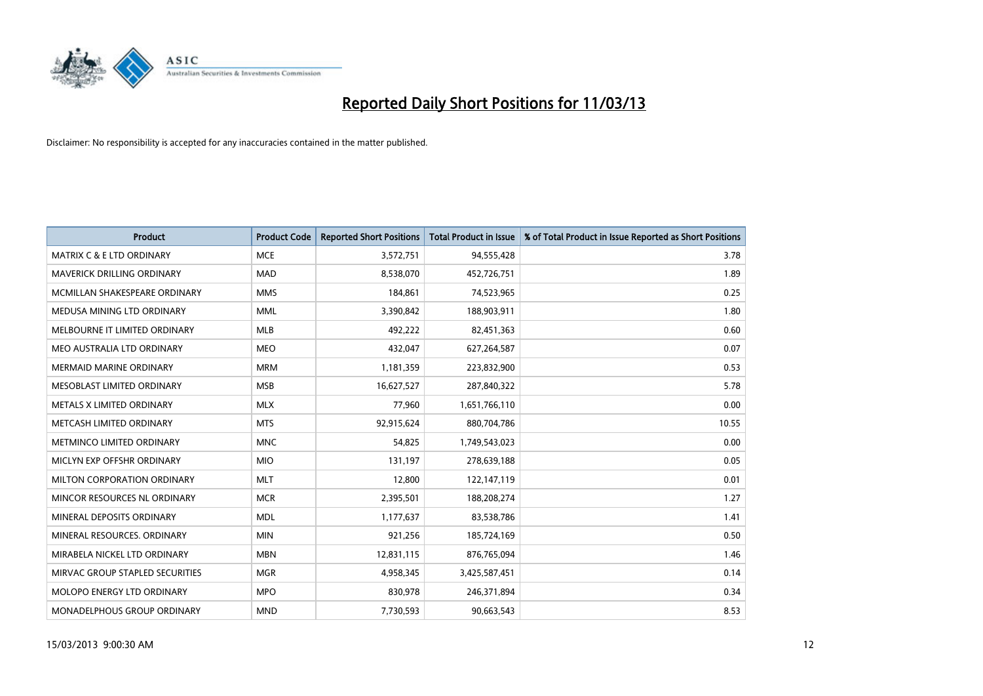

| <b>Product</b>                       | <b>Product Code</b> | <b>Reported Short Positions</b> | <b>Total Product in Issue</b> | % of Total Product in Issue Reported as Short Positions |
|--------------------------------------|---------------------|---------------------------------|-------------------------------|---------------------------------------------------------|
| <b>MATRIX C &amp; E LTD ORDINARY</b> | <b>MCE</b>          | 3,572,751                       | 94,555,428                    | 3.78                                                    |
| MAVERICK DRILLING ORDINARY           | <b>MAD</b>          | 8,538,070                       | 452,726,751                   | 1.89                                                    |
| MCMILLAN SHAKESPEARE ORDINARY        | <b>MMS</b>          | 184,861                         | 74,523,965                    | 0.25                                                    |
| MEDUSA MINING LTD ORDINARY           | <b>MML</b>          | 3,390,842                       | 188,903,911                   | 1.80                                                    |
| MELBOURNE IT LIMITED ORDINARY        | MLB                 | 492,222                         | 82,451,363                    | 0.60                                                    |
| MEO AUSTRALIA LTD ORDINARY           | <b>MEO</b>          | 432,047                         | 627,264,587                   | 0.07                                                    |
| <b>MERMAID MARINE ORDINARY</b>       | <b>MRM</b>          | 1,181,359                       | 223,832,900                   | 0.53                                                    |
| MESOBLAST LIMITED ORDINARY           | <b>MSB</b>          | 16,627,527                      | 287,840,322                   | 5.78                                                    |
| METALS X LIMITED ORDINARY            | <b>MLX</b>          | 77,960                          | 1,651,766,110                 | 0.00                                                    |
| METCASH LIMITED ORDINARY             | <b>MTS</b>          | 92,915,624                      | 880,704,786                   | 10.55                                                   |
| METMINCO LIMITED ORDINARY            | <b>MNC</b>          | 54,825                          | 1,749,543,023                 | 0.00                                                    |
| MICLYN EXP OFFSHR ORDINARY           | <b>MIO</b>          | 131,197                         | 278,639,188                   | 0.05                                                    |
| MILTON CORPORATION ORDINARY          | <b>MLT</b>          | 12,800                          | 122,147,119                   | 0.01                                                    |
| MINCOR RESOURCES NL ORDINARY         | <b>MCR</b>          | 2,395,501                       | 188,208,274                   | 1.27                                                    |
| MINERAL DEPOSITS ORDINARY            | <b>MDL</b>          | 1,177,637                       | 83,538,786                    | 1.41                                                    |
| MINERAL RESOURCES, ORDINARY          | <b>MIN</b>          | 921,256                         | 185,724,169                   | 0.50                                                    |
| MIRABELA NICKEL LTD ORDINARY         | <b>MBN</b>          | 12,831,115                      | 876,765,094                   | 1.46                                                    |
| MIRVAC GROUP STAPLED SECURITIES      | <b>MGR</b>          | 4,958,345                       | 3,425,587,451                 | 0.14                                                    |
| MOLOPO ENERGY LTD ORDINARY           | <b>MPO</b>          | 830,978                         | 246,371,894                   | 0.34                                                    |
| MONADELPHOUS GROUP ORDINARY          | <b>MND</b>          | 7,730,593                       | 90,663,543                    | 8.53                                                    |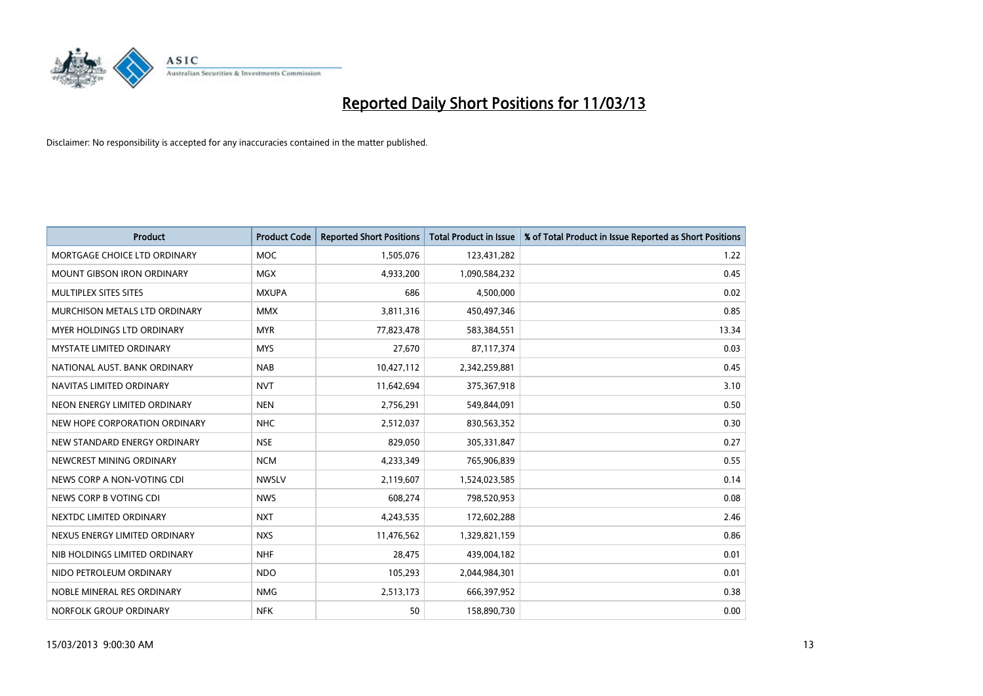

| <b>Product</b>                    | <b>Product Code</b> | <b>Reported Short Positions</b> | <b>Total Product in Issue</b> | % of Total Product in Issue Reported as Short Positions |
|-----------------------------------|---------------------|---------------------------------|-------------------------------|---------------------------------------------------------|
| MORTGAGE CHOICE LTD ORDINARY      | <b>MOC</b>          | 1,505,076                       | 123,431,282                   | 1.22                                                    |
| <b>MOUNT GIBSON IRON ORDINARY</b> | <b>MGX</b>          | 4,933,200                       | 1,090,584,232                 | 0.45                                                    |
| MULTIPLEX SITES SITES             | <b>MXUPA</b>        | 686                             | 4,500,000                     | 0.02                                                    |
| MURCHISON METALS LTD ORDINARY     | <b>MMX</b>          | 3,811,316                       | 450,497,346                   | 0.85                                                    |
| <b>MYER HOLDINGS LTD ORDINARY</b> | <b>MYR</b>          | 77,823,478                      | 583,384,551                   | 13.34                                                   |
| <b>MYSTATE LIMITED ORDINARY</b>   | <b>MYS</b>          | 27,670                          | 87,117,374                    | 0.03                                                    |
| NATIONAL AUST. BANK ORDINARY      | <b>NAB</b>          | 10,427,112                      | 2,342,259,881                 | 0.45                                                    |
| NAVITAS LIMITED ORDINARY          | <b>NVT</b>          | 11,642,694                      | 375,367,918                   | 3.10                                                    |
| NEON ENERGY LIMITED ORDINARY      | <b>NEN</b>          | 2,756,291                       | 549,844,091                   | 0.50                                                    |
| NEW HOPE CORPORATION ORDINARY     | <b>NHC</b>          | 2,512,037                       | 830,563,352                   | 0.30                                                    |
| NEW STANDARD ENERGY ORDINARY      | <b>NSE</b>          | 829,050                         | 305,331,847                   | 0.27                                                    |
| NEWCREST MINING ORDINARY          | <b>NCM</b>          | 4,233,349                       | 765,906,839                   | 0.55                                                    |
| NEWS CORP A NON-VOTING CDI        | <b>NWSLV</b>        | 2,119,607                       | 1,524,023,585                 | 0.14                                                    |
| NEWS CORP B VOTING CDI            | <b>NWS</b>          | 608,274                         | 798,520,953                   | 0.08                                                    |
| NEXTDC LIMITED ORDINARY           | <b>NXT</b>          | 4,243,535                       | 172,602,288                   | 2.46                                                    |
| NEXUS ENERGY LIMITED ORDINARY     | <b>NXS</b>          | 11,476,562                      | 1,329,821,159                 | 0.86                                                    |
| NIB HOLDINGS LIMITED ORDINARY     | <b>NHF</b>          | 28,475                          | 439,004,182                   | 0.01                                                    |
| NIDO PETROLEUM ORDINARY           | <b>NDO</b>          | 105,293                         | 2,044,984,301                 | 0.01                                                    |
| NOBLE MINERAL RES ORDINARY        | <b>NMG</b>          | 2,513,173                       | 666,397,952                   | 0.38                                                    |
| NORFOLK GROUP ORDINARY            | <b>NFK</b>          | 50                              | 158,890,730                   | 0.00                                                    |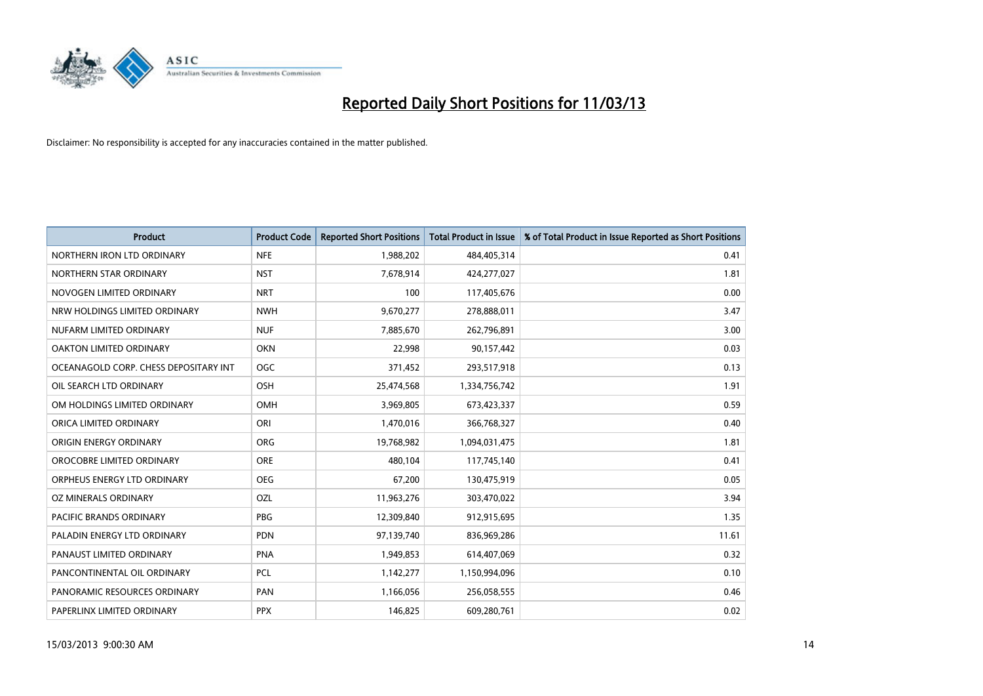

| <b>Product</b>                        | <b>Product Code</b> | <b>Reported Short Positions</b> | <b>Total Product in Issue</b> | % of Total Product in Issue Reported as Short Positions |
|---------------------------------------|---------------------|---------------------------------|-------------------------------|---------------------------------------------------------|
| NORTHERN IRON LTD ORDINARY            | <b>NFE</b>          | 1,988,202                       | 484,405,314                   | 0.41                                                    |
| NORTHERN STAR ORDINARY                | <b>NST</b>          | 7,678,914                       | 424,277,027                   | 1.81                                                    |
| NOVOGEN LIMITED ORDINARY              | <b>NRT</b>          | 100                             | 117,405,676                   | 0.00                                                    |
| NRW HOLDINGS LIMITED ORDINARY         | <b>NWH</b>          | 9,670,277                       | 278,888,011                   | 3.47                                                    |
| NUFARM LIMITED ORDINARY               | <b>NUF</b>          | 7,885,670                       | 262,796,891                   | 3.00                                                    |
| OAKTON LIMITED ORDINARY               | <b>OKN</b>          | 22,998                          | 90,157,442                    | 0.03                                                    |
| OCEANAGOLD CORP. CHESS DEPOSITARY INT | <b>OGC</b>          | 371,452                         | 293,517,918                   | 0.13                                                    |
| OIL SEARCH LTD ORDINARY               | OSH                 | 25,474,568                      | 1,334,756,742                 | 1.91                                                    |
| OM HOLDINGS LIMITED ORDINARY          | <b>OMH</b>          | 3,969,805                       | 673,423,337                   | 0.59                                                    |
| ORICA LIMITED ORDINARY                | ORI                 | 1,470,016                       | 366,768,327                   | 0.40                                                    |
| ORIGIN ENERGY ORDINARY                | <b>ORG</b>          | 19,768,982                      | 1,094,031,475                 | 1.81                                                    |
| OROCOBRE LIMITED ORDINARY             | <b>ORE</b>          | 480,104                         | 117,745,140                   | 0.41                                                    |
| ORPHEUS ENERGY LTD ORDINARY           | <b>OEG</b>          | 67,200                          | 130,475,919                   | 0.05                                                    |
| OZ MINERALS ORDINARY                  | OZL                 | 11,963,276                      | 303,470,022                   | 3.94                                                    |
| <b>PACIFIC BRANDS ORDINARY</b>        | PBG                 | 12,309,840                      | 912,915,695                   | 1.35                                                    |
| PALADIN ENERGY LTD ORDINARY           | <b>PDN</b>          | 97,139,740                      | 836,969,286                   | 11.61                                                   |
| PANAUST LIMITED ORDINARY              | <b>PNA</b>          | 1,949,853                       | 614,407,069                   | 0.32                                                    |
| PANCONTINENTAL OIL ORDINARY           | <b>PCL</b>          | 1,142,277                       | 1,150,994,096                 | 0.10                                                    |
| PANORAMIC RESOURCES ORDINARY          | PAN                 | 1,166,056                       | 256,058,555                   | 0.46                                                    |
| PAPERLINX LIMITED ORDINARY            | <b>PPX</b>          | 146,825                         | 609,280,761                   | 0.02                                                    |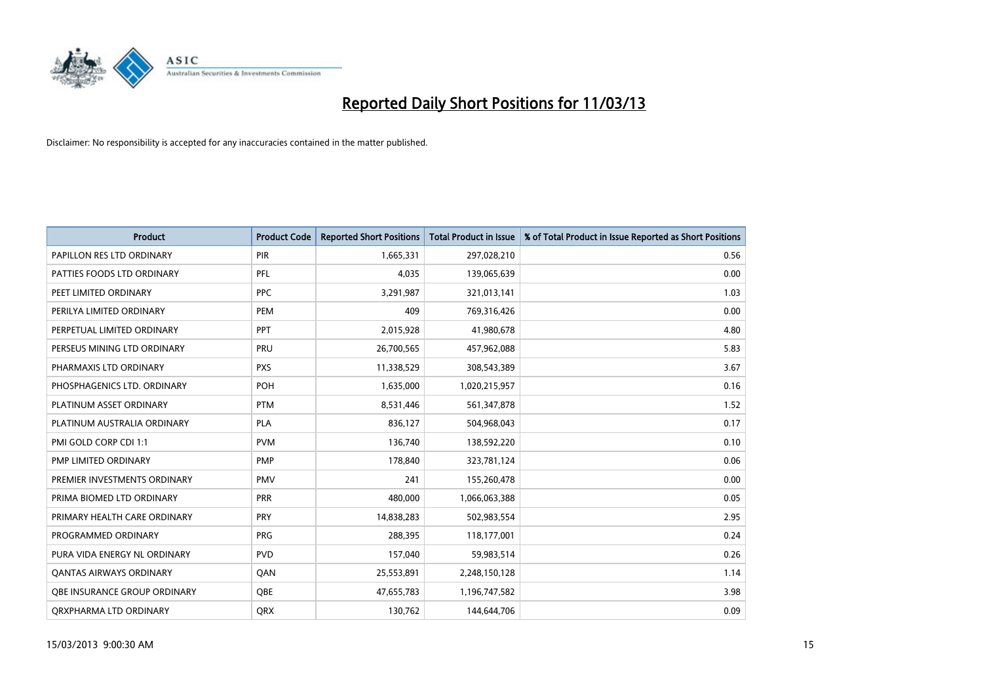

| <b>Product</b>                 | <b>Product Code</b> | <b>Reported Short Positions</b> | <b>Total Product in Issue</b> | % of Total Product in Issue Reported as Short Positions |
|--------------------------------|---------------------|---------------------------------|-------------------------------|---------------------------------------------------------|
| PAPILLON RES LTD ORDINARY      | PIR                 | 1,665,331                       | 297,028,210                   | 0.56                                                    |
| PATTIES FOODS LTD ORDINARY     | PFL                 | 4,035                           | 139,065,639                   | 0.00                                                    |
| PEET LIMITED ORDINARY          | <b>PPC</b>          | 3,291,987                       | 321,013,141                   | 1.03                                                    |
| PERILYA LIMITED ORDINARY       | PEM                 | 409                             | 769,316,426                   | 0.00                                                    |
| PERPETUAL LIMITED ORDINARY     | <b>PPT</b>          | 2,015,928                       | 41,980,678                    | 4.80                                                    |
| PERSEUS MINING LTD ORDINARY    | PRU                 | 26,700,565                      | 457,962,088                   | 5.83                                                    |
| PHARMAXIS LTD ORDINARY         | <b>PXS</b>          | 11,338,529                      | 308,543,389                   | 3.67                                                    |
| PHOSPHAGENICS LTD. ORDINARY    | POH                 | 1,635,000                       | 1,020,215,957                 | 0.16                                                    |
| PLATINUM ASSET ORDINARY        | <b>PTM</b>          | 8,531,446                       | 561,347,878                   | 1.52                                                    |
| PLATINUM AUSTRALIA ORDINARY    | <b>PLA</b>          | 836,127                         | 504,968,043                   | 0.17                                                    |
| PMI GOLD CORP CDI 1:1          | <b>PVM</b>          | 136,740                         | 138,592,220                   | 0.10                                                    |
| PMP LIMITED ORDINARY           | <b>PMP</b>          | 178,840                         | 323,781,124                   | 0.06                                                    |
| PREMIER INVESTMENTS ORDINARY   | <b>PMV</b>          | 241                             | 155,260,478                   | 0.00                                                    |
| PRIMA BIOMED LTD ORDINARY      | <b>PRR</b>          | 480,000                         | 1,066,063,388                 | 0.05                                                    |
| PRIMARY HEALTH CARE ORDINARY   | PRY                 | 14,838,283                      | 502,983,554                   | 2.95                                                    |
| PROGRAMMED ORDINARY            | <b>PRG</b>          | 288,395                         | 118,177,001                   | 0.24                                                    |
| PURA VIDA ENERGY NL ORDINARY   | <b>PVD</b>          | 157,040                         | 59,983,514                    | 0.26                                                    |
| <b>QANTAS AIRWAYS ORDINARY</b> | QAN                 | 25,553,891                      | 2,248,150,128                 | 1.14                                                    |
| OBE INSURANCE GROUP ORDINARY   | <b>OBE</b>          | 47,655,783                      | 1,196,747,582                 | 3.98                                                    |
| ORXPHARMA LTD ORDINARY         | <b>QRX</b>          | 130,762                         | 144,644,706                   | 0.09                                                    |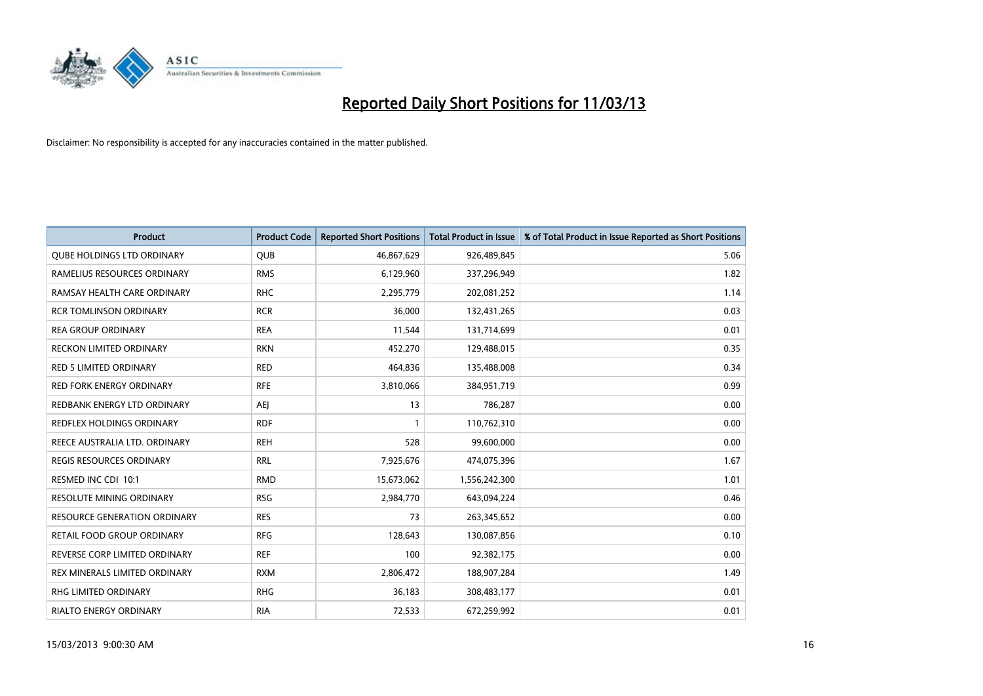

| <b>Product</b>                      | <b>Product Code</b> | <b>Reported Short Positions</b> | <b>Total Product in Issue</b> | % of Total Product in Issue Reported as Short Positions |
|-------------------------------------|---------------------|---------------------------------|-------------------------------|---------------------------------------------------------|
| <b>QUBE HOLDINGS LTD ORDINARY</b>   | QUB                 | 46,867,629                      | 926,489,845                   | 5.06                                                    |
| RAMELIUS RESOURCES ORDINARY         | <b>RMS</b>          | 6,129,960                       | 337,296,949                   | 1.82                                                    |
| RAMSAY HEALTH CARE ORDINARY         | <b>RHC</b>          | 2,295,779                       | 202,081,252                   | 1.14                                                    |
| <b>RCR TOMLINSON ORDINARY</b>       | <b>RCR</b>          | 36,000                          | 132,431,265                   | 0.03                                                    |
| <b>REA GROUP ORDINARY</b>           | <b>REA</b>          | 11,544                          | 131,714,699                   | 0.01                                                    |
| <b>RECKON LIMITED ORDINARY</b>      | <b>RKN</b>          | 452,270                         | 129,488,015                   | 0.35                                                    |
| <b>RED 5 LIMITED ORDINARY</b>       | <b>RED</b>          | 464,836                         | 135,488,008                   | 0.34                                                    |
| RED FORK ENERGY ORDINARY            | <b>RFE</b>          | 3,810,066                       | 384,951,719                   | 0.99                                                    |
| REDBANK ENERGY LTD ORDINARY         | AEJ                 | 13                              | 786,287                       | 0.00                                                    |
| <b>REDFLEX HOLDINGS ORDINARY</b>    | <b>RDF</b>          |                                 | 110,762,310                   | 0.00                                                    |
| REECE AUSTRALIA LTD. ORDINARY       | <b>REH</b>          | 528                             | 99,600,000                    | 0.00                                                    |
| <b>REGIS RESOURCES ORDINARY</b>     | <b>RRL</b>          | 7,925,676                       | 474,075,396                   | 1.67                                                    |
| RESMED INC CDI 10:1                 | <b>RMD</b>          | 15,673,062                      | 1,556,242,300                 | 1.01                                                    |
| RESOLUTE MINING ORDINARY            | <b>RSG</b>          | 2,984,770                       | 643,094,224                   | 0.46                                                    |
| <b>RESOURCE GENERATION ORDINARY</b> | <b>RES</b>          | 73                              | 263,345,652                   | 0.00                                                    |
| RETAIL FOOD GROUP ORDINARY          | <b>RFG</b>          | 128,643                         | 130,087,856                   | 0.10                                                    |
| REVERSE CORP LIMITED ORDINARY       | <b>REF</b>          | 100                             | 92,382,175                    | 0.00                                                    |
| REX MINERALS LIMITED ORDINARY       | <b>RXM</b>          | 2,806,472                       | 188,907,284                   | 1.49                                                    |
| RHG LIMITED ORDINARY                | <b>RHG</b>          | 36,183                          | 308,483,177                   | 0.01                                                    |
| RIALTO ENERGY ORDINARY              | <b>RIA</b>          | 72,533                          | 672,259,992                   | 0.01                                                    |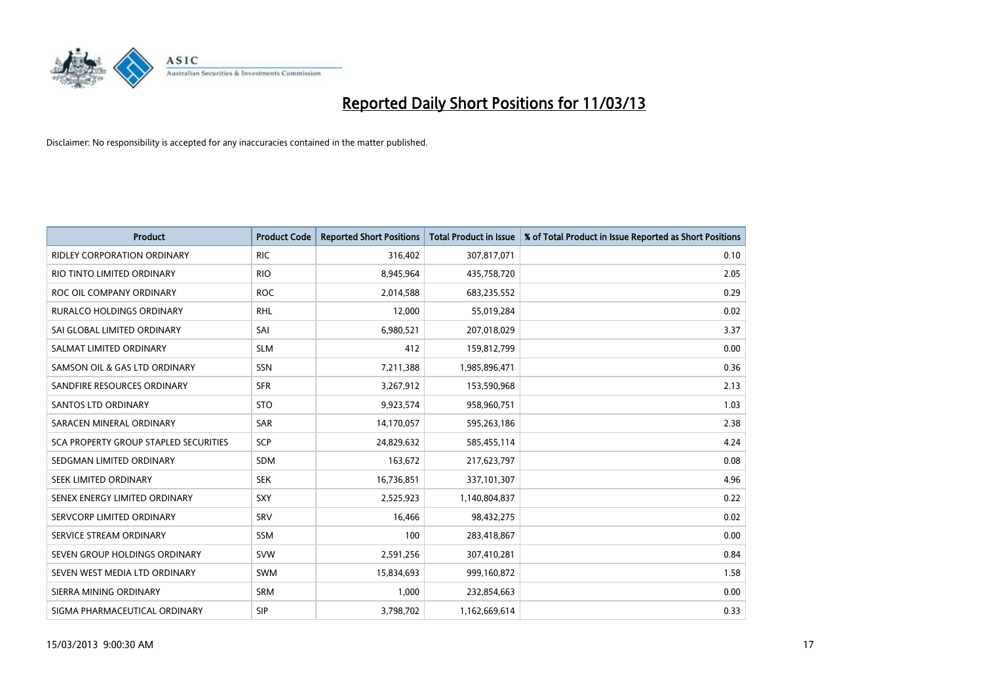

| <b>Product</b>                               | <b>Product Code</b> | <b>Reported Short Positions</b> | <b>Total Product in Issue</b> | % of Total Product in Issue Reported as Short Positions |
|----------------------------------------------|---------------------|---------------------------------|-------------------------------|---------------------------------------------------------|
| <b>RIDLEY CORPORATION ORDINARY</b>           | <b>RIC</b>          | 316,402                         | 307,817,071                   | 0.10                                                    |
| RIO TINTO LIMITED ORDINARY                   | <b>RIO</b>          | 8,945,964                       | 435,758,720                   | 2.05                                                    |
| ROC OIL COMPANY ORDINARY                     | <b>ROC</b>          | 2,014,588                       | 683,235,552                   | 0.29                                                    |
| RURALCO HOLDINGS ORDINARY                    | <b>RHL</b>          | 12,000                          | 55,019,284                    | 0.02                                                    |
| SAI GLOBAL LIMITED ORDINARY                  | SAI                 | 6,980,521                       | 207,018,029                   | 3.37                                                    |
| SALMAT LIMITED ORDINARY                      | <b>SLM</b>          | 412                             | 159,812,799                   | 0.00                                                    |
| SAMSON OIL & GAS LTD ORDINARY                | SSN                 | 7,211,388                       | 1,985,896,471                 | 0.36                                                    |
| SANDFIRE RESOURCES ORDINARY                  | <b>SFR</b>          | 3,267,912                       | 153,590,968                   | 2.13                                                    |
| <b>SANTOS LTD ORDINARY</b>                   | <b>STO</b>          | 9,923,574                       | 958,960,751                   | 1.03                                                    |
| SARACEN MINERAL ORDINARY                     | <b>SAR</b>          | 14,170,057                      | 595,263,186                   | 2.38                                                    |
| <b>SCA PROPERTY GROUP STAPLED SECURITIES</b> | SCP                 | 24,829,632                      | 585,455,114                   | 4.24                                                    |
| SEDGMAN LIMITED ORDINARY                     | <b>SDM</b>          | 163,672                         | 217,623,797                   | 0.08                                                    |
| <b>SEEK LIMITED ORDINARY</b>                 | <b>SEK</b>          | 16,736,851                      | 337,101,307                   | 4.96                                                    |
| SENEX ENERGY LIMITED ORDINARY                | SXY                 | 2,525,923                       | 1,140,804,837                 | 0.22                                                    |
| SERVCORP LIMITED ORDINARY                    | SRV                 | 16,466                          | 98,432,275                    | 0.02                                                    |
| SERVICE STREAM ORDINARY                      | <b>SSM</b>          | 100                             | 283,418,867                   | 0.00                                                    |
| SEVEN GROUP HOLDINGS ORDINARY                | <b>SVW</b>          | 2,591,256                       | 307,410,281                   | 0.84                                                    |
| SEVEN WEST MEDIA LTD ORDINARY                | <b>SWM</b>          | 15,834,693                      | 999,160,872                   | 1.58                                                    |
| SIERRA MINING ORDINARY                       | <b>SRM</b>          | 1,000                           | 232,854,663                   | 0.00                                                    |
| SIGMA PHARMACEUTICAL ORDINARY                | <b>SIP</b>          | 3,798,702                       | 1,162,669,614                 | 0.33                                                    |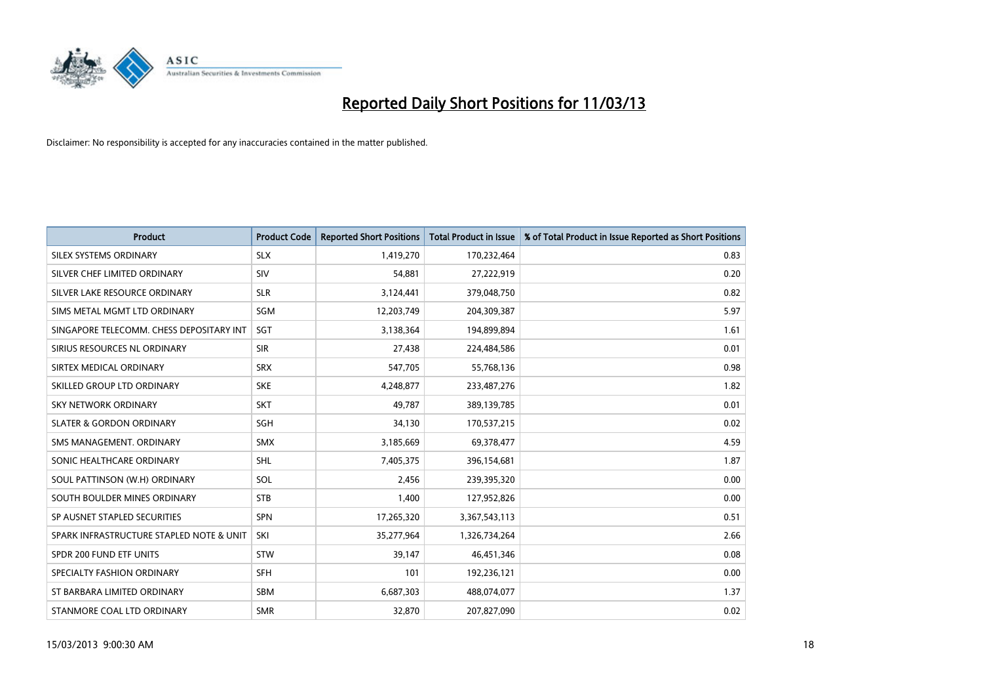

| <b>Product</b>                           | <b>Product Code</b> | <b>Reported Short Positions</b> | <b>Total Product in Issue</b> | % of Total Product in Issue Reported as Short Positions |
|------------------------------------------|---------------------|---------------------------------|-------------------------------|---------------------------------------------------------|
| SILEX SYSTEMS ORDINARY                   | <b>SLX</b>          | 1,419,270                       | 170,232,464                   | 0.83                                                    |
| SILVER CHEF LIMITED ORDINARY             | SIV                 | 54,881                          | 27,222,919                    | 0.20                                                    |
| SILVER LAKE RESOURCE ORDINARY            | <b>SLR</b>          | 3,124,441                       | 379,048,750                   | 0.82                                                    |
| SIMS METAL MGMT LTD ORDINARY             | SGM                 | 12,203,749                      | 204,309,387                   | 5.97                                                    |
| SINGAPORE TELECOMM. CHESS DEPOSITARY INT | SGT                 | 3,138,364                       | 194,899,894                   | 1.61                                                    |
| SIRIUS RESOURCES NL ORDINARY             | <b>SIR</b>          | 27,438                          | 224,484,586                   | 0.01                                                    |
| SIRTEX MEDICAL ORDINARY                  | <b>SRX</b>          | 547,705                         | 55,768,136                    | 0.98                                                    |
| SKILLED GROUP LTD ORDINARY               | <b>SKE</b>          | 4,248,877                       | 233,487,276                   | 1.82                                                    |
| <b>SKY NETWORK ORDINARY</b>              | <b>SKT</b>          | 49,787                          | 389,139,785                   | 0.01                                                    |
| <b>SLATER &amp; GORDON ORDINARY</b>      | SGH                 | 34,130                          | 170,537,215                   | 0.02                                                    |
| SMS MANAGEMENT, ORDINARY                 | <b>SMX</b>          | 3,185,669                       | 69,378,477                    | 4.59                                                    |
| SONIC HEALTHCARE ORDINARY                | <b>SHL</b>          | 7,405,375                       | 396,154,681                   | 1.87                                                    |
| SOUL PATTINSON (W.H) ORDINARY            | SOL                 | 2,456                           | 239,395,320                   | 0.00                                                    |
| SOUTH BOULDER MINES ORDINARY             | <b>STB</b>          | 1,400                           | 127,952,826                   | 0.00                                                    |
| SP AUSNET STAPLED SECURITIES             | <b>SPN</b>          | 17,265,320                      | 3,367,543,113                 | 0.51                                                    |
| SPARK INFRASTRUCTURE STAPLED NOTE & UNIT | SKI                 | 35,277,964                      | 1,326,734,264                 | 2.66                                                    |
| SPDR 200 FUND ETF UNITS                  | STW                 | 39,147                          | 46,451,346                    | 0.08                                                    |
| SPECIALTY FASHION ORDINARY               | SFH                 | 101                             | 192,236,121                   | 0.00                                                    |
| ST BARBARA LIMITED ORDINARY              | <b>SBM</b>          | 6,687,303                       | 488,074,077                   | 1.37                                                    |
| STANMORE COAL LTD ORDINARY               | <b>SMR</b>          | 32,870                          | 207,827,090                   | 0.02                                                    |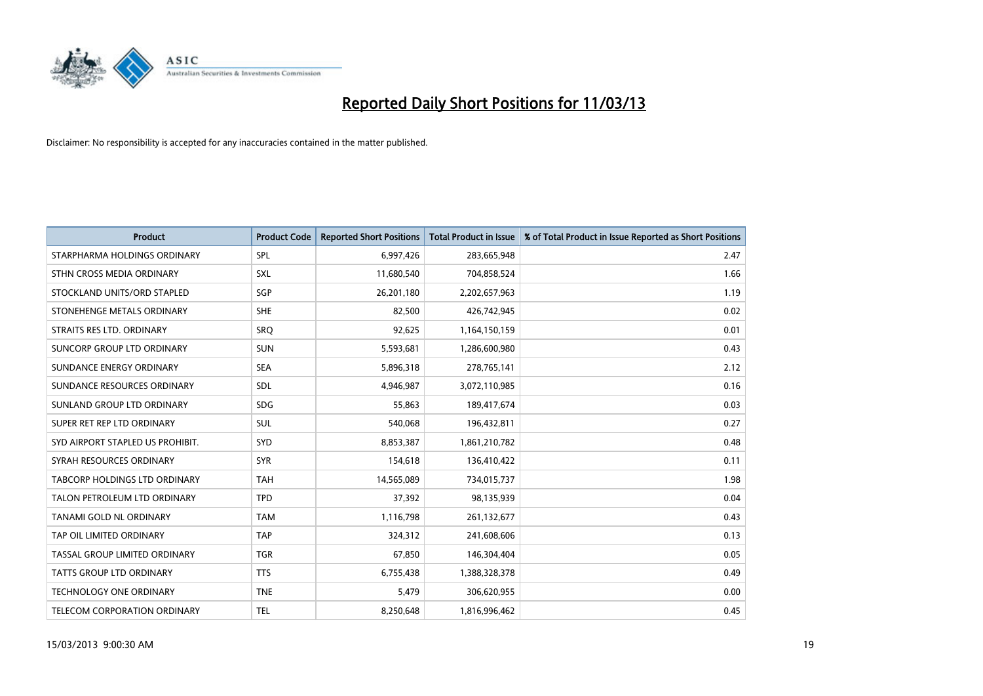

| <b>Product</b>                   | <b>Product Code</b> | <b>Reported Short Positions</b> | <b>Total Product in Issue</b> | % of Total Product in Issue Reported as Short Positions |
|----------------------------------|---------------------|---------------------------------|-------------------------------|---------------------------------------------------------|
| STARPHARMA HOLDINGS ORDINARY     | SPL                 | 6,997,426                       | 283,665,948                   | 2.47                                                    |
| STHN CROSS MEDIA ORDINARY        | <b>SXL</b>          | 11,680,540                      | 704,858,524                   | 1.66                                                    |
| STOCKLAND UNITS/ORD STAPLED      | <b>SGP</b>          | 26,201,180                      | 2,202,657,963                 | 1.19                                                    |
| STONEHENGE METALS ORDINARY       | <b>SHE</b>          | 82,500                          | 426,742,945                   | 0.02                                                    |
| STRAITS RES LTD. ORDINARY        | SRO                 | 92,625                          | 1,164,150,159                 | 0.01                                                    |
| SUNCORP GROUP LTD ORDINARY       | <b>SUN</b>          | 5,593,681                       | 1,286,600,980                 | 0.43                                                    |
| SUNDANCE ENERGY ORDINARY         | <b>SEA</b>          | 5,896,318                       | 278,765,141                   | 2.12                                                    |
| SUNDANCE RESOURCES ORDINARY      | <b>SDL</b>          | 4,946,987                       | 3,072,110,985                 | 0.16                                                    |
| SUNLAND GROUP LTD ORDINARY       | <b>SDG</b>          | 55,863                          | 189,417,674                   | 0.03                                                    |
| SUPER RET REP LTD ORDINARY       | <b>SUL</b>          | 540,068                         | 196,432,811                   | 0.27                                                    |
| SYD AIRPORT STAPLED US PROHIBIT. | <b>SYD</b>          | 8,853,387                       | 1,861,210,782                 | 0.48                                                    |
| SYRAH RESOURCES ORDINARY         | <b>SYR</b>          | 154,618                         | 136,410,422                   | 0.11                                                    |
| TABCORP HOLDINGS LTD ORDINARY    | <b>TAH</b>          | 14,565,089                      | 734,015,737                   | 1.98                                                    |
| TALON PETROLEUM LTD ORDINARY     | <b>TPD</b>          | 37,392                          | 98,135,939                    | 0.04                                                    |
| TANAMI GOLD NL ORDINARY          | <b>TAM</b>          | 1,116,798                       | 261,132,677                   | 0.43                                                    |
| TAP OIL LIMITED ORDINARY         | <b>TAP</b>          | 324,312                         | 241,608,606                   | 0.13                                                    |
| TASSAL GROUP LIMITED ORDINARY    | <b>TGR</b>          | 67,850                          | 146,304,404                   | 0.05                                                    |
| TATTS GROUP LTD ORDINARY         | <b>TTS</b>          | 6,755,438                       | 1,388,328,378                 | 0.49                                                    |
| <b>TECHNOLOGY ONE ORDINARY</b>   | <b>TNE</b>          | 5,479                           | 306,620,955                   | 0.00                                                    |
| TELECOM CORPORATION ORDINARY     | <b>TEL</b>          | 8.250.648                       | 1,816,996,462                 | 0.45                                                    |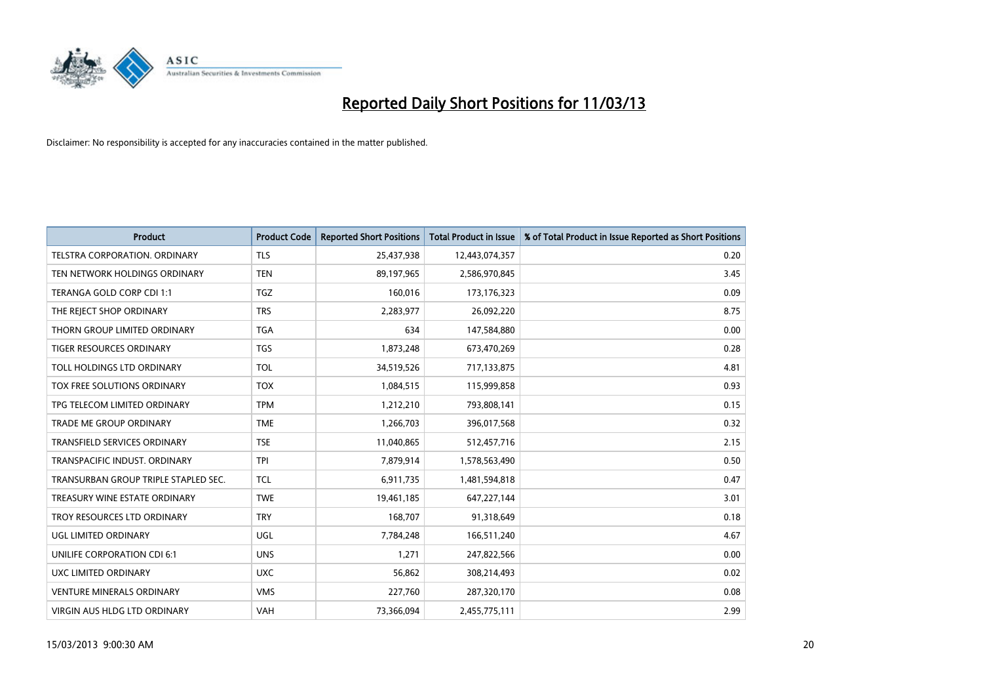

| <b>Product</b>                       | <b>Product Code</b> | <b>Reported Short Positions</b> | <b>Total Product in Issue</b> | % of Total Product in Issue Reported as Short Positions |
|--------------------------------------|---------------------|---------------------------------|-------------------------------|---------------------------------------------------------|
| <b>TELSTRA CORPORATION, ORDINARY</b> | <b>TLS</b>          | 25,437,938                      | 12,443,074,357                | 0.20                                                    |
| TEN NETWORK HOLDINGS ORDINARY        | <b>TEN</b>          | 89,197,965                      | 2,586,970,845                 | 3.45                                                    |
| TERANGA GOLD CORP CDI 1:1            | <b>TGZ</b>          | 160,016                         | 173, 176, 323                 | 0.09                                                    |
| THE REJECT SHOP ORDINARY             | <b>TRS</b>          | 2,283,977                       | 26,092,220                    | 8.75                                                    |
| THORN GROUP LIMITED ORDINARY         | <b>TGA</b>          | 634                             | 147,584,880                   | 0.00                                                    |
| TIGER RESOURCES ORDINARY             | <b>TGS</b>          | 1,873,248                       | 673,470,269                   | 0.28                                                    |
| TOLL HOLDINGS LTD ORDINARY           | <b>TOL</b>          | 34,519,526                      | 717,133,875                   | 4.81                                                    |
| TOX FREE SOLUTIONS ORDINARY          | <b>TOX</b>          | 1,084,515                       | 115,999,858                   | 0.93                                                    |
| TPG TELECOM LIMITED ORDINARY         | <b>TPM</b>          | 1,212,210                       | 793,808,141                   | 0.15                                                    |
| <b>TRADE ME GROUP ORDINARY</b>       | <b>TME</b>          | 1,266,703                       | 396,017,568                   | 0.32                                                    |
| TRANSFIELD SERVICES ORDINARY         | <b>TSE</b>          | 11,040,865                      | 512,457,716                   | 2.15                                                    |
| TRANSPACIFIC INDUST, ORDINARY        | <b>TPI</b>          | 7,879,914                       | 1,578,563,490                 | 0.50                                                    |
| TRANSURBAN GROUP TRIPLE STAPLED SEC. | <b>TCL</b>          | 6,911,735                       | 1,481,594,818                 | 0.47                                                    |
| TREASURY WINE ESTATE ORDINARY        | <b>TWE</b>          | 19,461,185                      | 647,227,144                   | 3.01                                                    |
| TROY RESOURCES LTD ORDINARY          | <b>TRY</b>          | 168,707                         | 91,318,649                    | 0.18                                                    |
| UGL LIMITED ORDINARY                 | UGL                 | 7,784,248                       | 166,511,240                   | 4.67                                                    |
| UNILIFE CORPORATION CDI 6:1          | <b>UNS</b>          | 1,271                           | 247,822,566                   | 0.00                                                    |
| UXC LIMITED ORDINARY                 | <b>UXC</b>          | 56,862                          | 308,214,493                   | 0.02                                                    |
| <b>VENTURE MINERALS ORDINARY</b>     | <b>VMS</b>          | 227,760                         | 287,320,170                   | 0.08                                                    |
| VIRGIN AUS HLDG LTD ORDINARY         | <b>VAH</b>          | 73,366,094                      | 2,455,775,111                 | 2.99                                                    |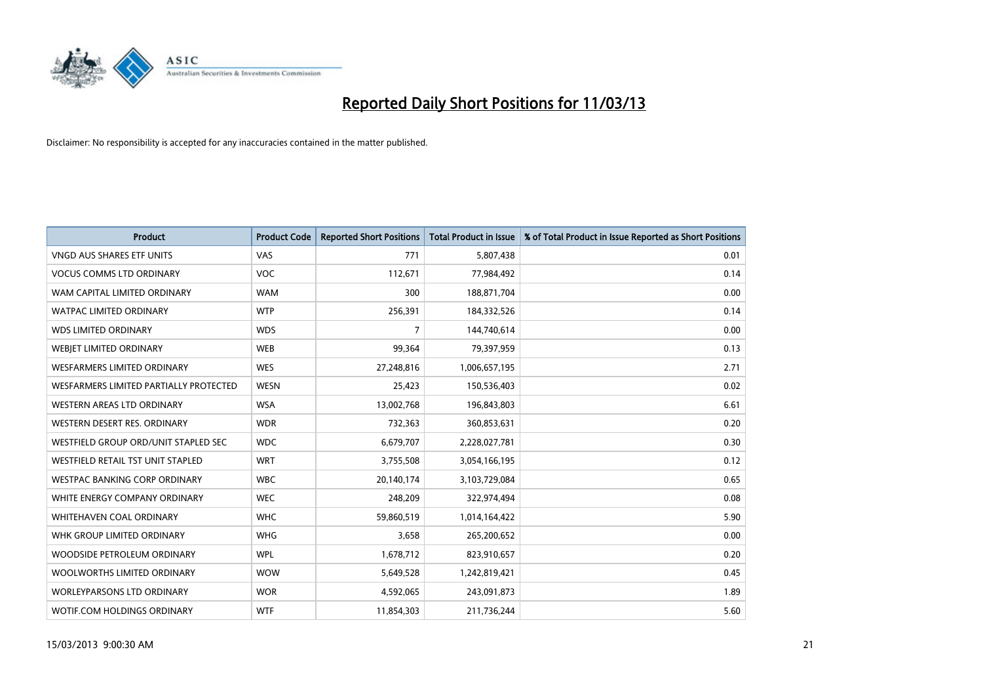

| <b>Product</b>                         | <b>Product Code</b> | <b>Reported Short Positions</b> | <b>Total Product in Issue</b> | % of Total Product in Issue Reported as Short Positions |
|----------------------------------------|---------------------|---------------------------------|-------------------------------|---------------------------------------------------------|
| <b>VNGD AUS SHARES ETF UNITS</b>       | VAS                 | 771                             | 5,807,438                     | 0.01                                                    |
| <b>VOCUS COMMS LTD ORDINARY</b>        | <b>VOC</b>          | 112,671                         | 77,984,492                    | 0.14                                                    |
| WAM CAPITAL LIMITED ORDINARY           | <b>WAM</b>          | 300                             | 188,871,704                   | 0.00                                                    |
| WATPAC LIMITED ORDINARY                | <b>WTP</b>          | 256,391                         | 184,332,526                   | 0.14                                                    |
| <b>WDS LIMITED ORDINARY</b>            | <b>WDS</b>          | 7                               | 144,740,614                   | 0.00                                                    |
| WEBIET LIMITED ORDINARY                | <b>WEB</b>          | 99,364                          | 79,397,959                    | 0.13                                                    |
| <b>WESFARMERS LIMITED ORDINARY</b>     | <b>WES</b>          | 27,248,816                      | 1,006,657,195                 | 2.71                                                    |
| WESFARMERS LIMITED PARTIALLY PROTECTED | <b>WESN</b>         | 25,423                          | 150,536,403                   | 0.02                                                    |
| <b>WESTERN AREAS LTD ORDINARY</b>      | <b>WSA</b>          | 13,002,768                      | 196,843,803                   | 6.61                                                    |
| WESTERN DESERT RES. ORDINARY           | <b>WDR</b>          | 732,363                         | 360,853,631                   | 0.20                                                    |
| WESTFIELD GROUP ORD/UNIT STAPLED SEC   | <b>WDC</b>          | 6,679,707                       | 2,228,027,781                 | 0.30                                                    |
| WESTFIELD RETAIL TST UNIT STAPLED      | <b>WRT</b>          | 3,755,508                       | 3,054,166,195                 | 0.12                                                    |
| WESTPAC BANKING CORP ORDINARY          | <b>WBC</b>          | 20,140,174                      | 3,103,729,084                 | 0.65                                                    |
| WHITE ENERGY COMPANY ORDINARY          | <b>WEC</b>          | 248,209                         | 322,974,494                   | 0.08                                                    |
| <b>WHITEHAVEN COAL ORDINARY</b>        | <b>WHC</b>          | 59,860,519                      | 1,014,164,422                 | 5.90                                                    |
| WHK GROUP LIMITED ORDINARY             | <b>WHG</b>          | 3,658                           | 265,200,652                   | 0.00                                                    |
| WOODSIDE PETROLEUM ORDINARY            | <b>WPL</b>          | 1,678,712                       | 823,910,657                   | 0.20                                                    |
| WOOLWORTHS LIMITED ORDINARY            | <b>WOW</b>          | 5,649,528                       | 1,242,819,421                 | 0.45                                                    |
| <b>WORLEYPARSONS LTD ORDINARY</b>      | <b>WOR</b>          | 4,592,065                       | 243,091,873                   | 1.89                                                    |
| WOTIF.COM HOLDINGS ORDINARY            | <b>WTF</b>          | 11,854,303                      | 211,736,244                   | 5.60                                                    |